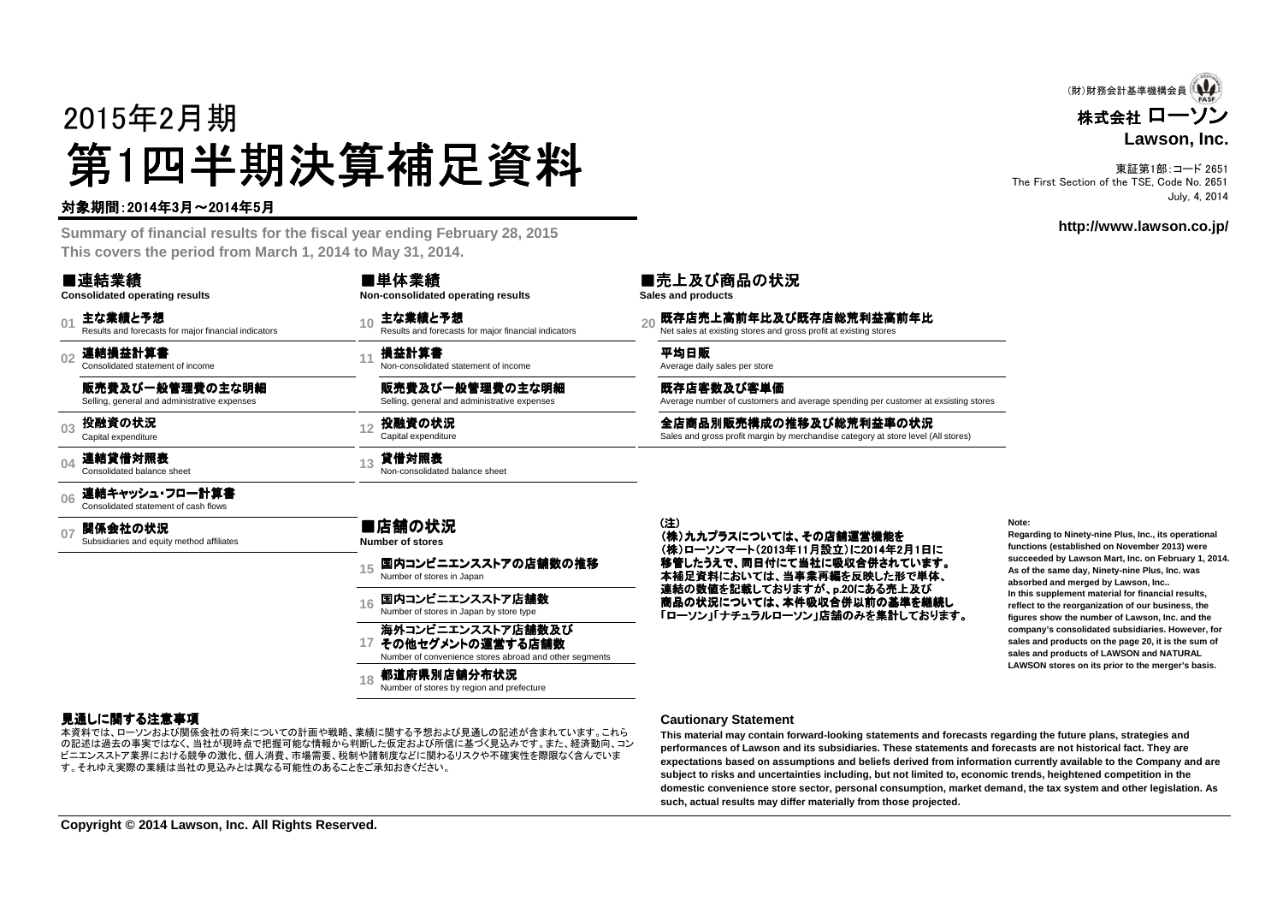# 2015年2月期第1四半期決算補足資料<br><del>"卿恩"的</del>

#### 対象期間:2014年3月~2014年5月

 **Summary of financial results for the fiscal year ending February 28, 2015This covers the period from March 1, 2014 to May 31, 2014.**

#### ■連結業績

#### **Consolidated operating results**

 $\mathbf{0}$ 主な業績と予想<br>Results and forecasts for major financial indicators

**02**連結損益計算書 Consolidated statement of income

販売費及び一般管理費の主な明細

Selling, general and administrative expenses

**03**投融資の状況

**04**連結貸借対照表 Consolidated balance sheet

**06**連結キャッシュ・フロー計算書 Consolidated statement of cash flows

**07関係会社の状況**<br>Subsidiaries and equity method affiliates

■店舗の状況 **Number of stores**

国内コンビニエンスストアの店舗数の推移<br>Number of stores in Japan

**16**国内コンビニエンスストア店舗数<br>Number of stores in Japan by store type

#### 海外コンビニエンスストア店舗数及び<br>その他セグメントの運営する店舗数

**17**その他セグメントの運営する店舗数Number of convenience stores abroad and other segments

**18都道府県別店舗分布状況**<br>Number of stores by region and prefecture

#### 見通しに関する注意事項

 の記述は過去の事実ではなく、当社が現時点で把握可能な情報から判断した仮定および所信に基づく見込みです。また、経済動向、コン本資料では、ローソンおよび関係会社の将来についての計画や戦略、業績に関する予想および見通しの記述が含まれています。これらビニエンスストア業界における競争の激化、個人消費、市場需要、税制や諸制度などに関わるリスクや不確実性を際限なく含んでいます。それゆえ実際の業績は当社の見込みとは異なる可能性のあることをご承知おきください。

**15**

#### 主な業績と予想<br>Results and forecasts for major financial indicators **20** Ret sales at existing stores and gross profit at existing stores **Non-consolidated operating results**

11 **損益計算書**<br>a Non-consolidated statement of income the statement of income a Average daily sales per store and the Non-consolidated statement of income

販売費及び一般管理費の主な明細Selling, general and administrative expenses

■単体業績

**<sup>13</sup>** 貸借対照表 Non-consolidated balance sheet

**<sup>12</sup>** 投融資の状況 Capital expenditure 全店商品別販売構成の推移及び総荒利益率の状況 Sales and gross profit margin by merchandise category at store level (All stores)

#### (注)

(株)九九プラスについては、その店舗運営機能を<br>(株)ローソンマート(2013年11日設立)に2014年2 (株)ローソンマート(2013年11月設立)に2014年2月1日に<br>なきしょうミー、国口付にイツサに電源へ営されています 移管したうえで、同日付にて当社に吸収合併されています。<br>土地日海地においては、火車番三編+ Estit + 形一当生 本補足資料においては、当事業再編を反映した形で単体、連結の数値を記載しておりますが、p.20にある売上及び商品の状況については、本件吸収合併以前の基準を継続し<br>「ローソン」「ナチュラルローソン」店舗のみを集計しております 「ローソン」「ナチュラルローソン」店舗のみを集計しております。

Average number of customers and average spending per customer at exsisting stores

**Note:**

 **Regarding to Ninety-nine Plus, Inc., its operationalfunctions (established on November 2013) were succeeded by Lawson Mart, Inc. on February 1, 2014.As of the same day, Ninety-nine Plus, Inc. wasabsorbed and merged by Lawson, Inc.. In this supplement material for financial results, reflect to the reorganization of our business, the figures show the number of Lawson, Inc. and the company's consolidated subsidiaries. However, for sales and products on the page 20, it is the sum ofsales and products of LAWSON and NATURALLAWSON stores on its prior to the merger's basis.**

#### **Cautionary Statement**

既存店客数及び客単価

■売上及び商品の状況

**Sales and products**

 **This material may contain forward-looking statements and forecasts regarding the future plans, strategies and performances of Lawson and its subsidiaries. These statements and forecasts are not historical fact. They are expectations based on assumptions and beliefs derived from information currently available to the Company and aresubject to risks and uncertainties including, but not limited to, economic trends, heightened competition in the domestic convenience store sector, personal consumption, market demand, the tax system and other legislation. Assuch, actual results may differ materially from those projected.**

株式会社 ローソン **Lawson, Inc.**(財)財務会計基準機構会員 (1

東証第1部:コード 2651 The First Section of the TSE, Code No. 2651July, 4, 2014

#### **http://www.lawson.co.jp/**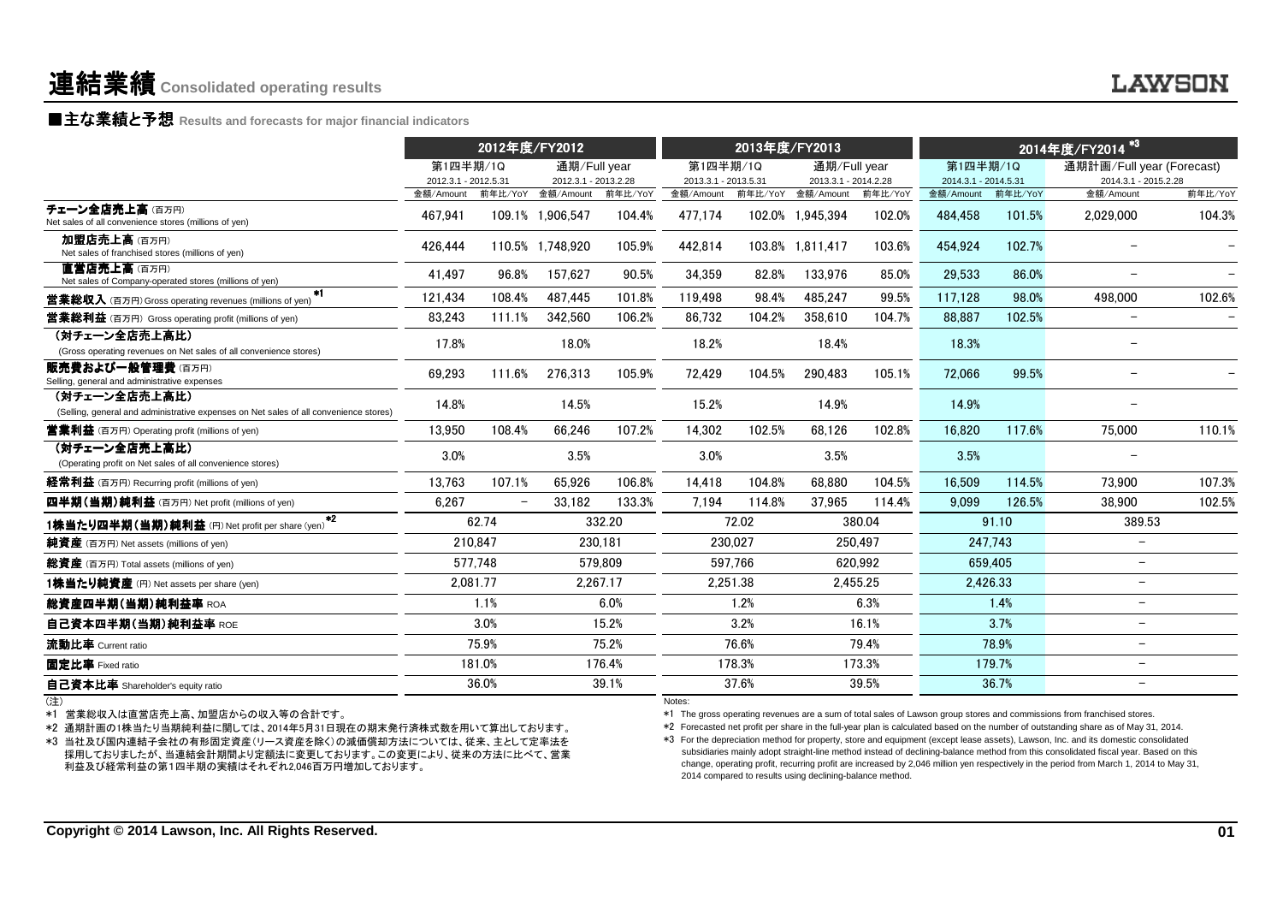|                                                                                                                                                                                                                                                                     | 2012年度/FY2012                     |                          | 2013年度/FY2013                             |          |                                   | 2014年度/FY2014 <sup>*3</sup> |                                                          |          |                                   |          |                                                                                                                                                                                                                                                                                                                                                                                                                                                                                                                                                                                                                                                                                        |         |
|---------------------------------------------------------------------------------------------------------------------------------------------------------------------------------------------------------------------------------------------------------------------|-----------------------------------|--------------------------|-------------------------------------------|----------|-----------------------------------|-----------------------------|----------------------------------------------------------|----------|-----------------------------------|----------|----------------------------------------------------------------------------------------------------------------------------------------------------------------------------------------------------------------------------------------------------------------------------------------------------------------------------------------------------------------------------------------------------------------------------------------------------------------------------------------------------------------------------------------------------------------------------------------------------------------------------------------------------------------------------------------|---------|
|                                                                                                                                                                                                                                                                     | 第1四半期/1Q                          |                          | 通期/Full year                              |          | 第1四半期/1Q                          |                             | 通期/Full year                                             |          | 第1四半期/1Q                          |          | 通期計画/Full year (Forecast)                                                                                                                                                                                                                                                                                                                                                                                                                                                                                                                                                                                                                                                              |         |
|                                                                                                                                                                                                                                                                     | 2012.3.1 - 2012.5.31<br>金額/Amount |                          | 2012.3.1 - 2013.2.28<br>前年比/YoY 金額/Amount | 前年比/YoY  | 2013.3.1 - 2013.5.31<br>金額/Amount |                             | 2013.3.1 - 2014.2.28<br>前年比/YoY 金額/Amount                | 前年比/YoY  | 2014.3.1 - 2014.5.31<br>金額/Amount | 前年比/YoY  | 2014.3.1 - 2015.2.28<br>金額/Amount                                                                                                                                                                                                                                                                                                                                                                                                                                                                                                                                                                                                                                                      | 前年比/YoY |
| チェーン全店売上高(百万円)<br>Net sales of all convenience stores (millions of yen)                                                                                                                                                                                             | 467.941                           |                          | 109.1% 1.906.547                          | 104.4%   | 477.174                           |                             | 102.0% 1.945.394                                         | 102.0%   | 484.458                           | 101.5%   | 2.029.000                                                                                                                                                                                                                                                                                                                                                                                                                                                                                                                                                                                                                                                                              | 104.3%  |
| 加盟店売上高(百万円)<br>Net sales of franchised stores (millions of yen)                                                                                                                                                                                                     | 426,444                           |                          | 110.5% 1,748,920                          | 105.9%   | 442,814                           |                             | 103.8% 1,811,417                                         | 103.6%   | 454,924                           | 102.7%   | $\overline{\phantom{0}}$                                                                                                                                                                                                                                                                                                                                                                                                                                                                                                                                                                                                                                                               |         |
| 直営店売上高(百万円)<br>Net sales of Company-operated stores (millions of yen)                                                                                                                                                                                               | 41.497                            | 96.8%                    | 157.627                                   | 90.5%    | 34.359                            | 82.8%                       | 133.976                                                  | 85.0%    | 29.533                            | 86.0%    | $\overline{\phantom{0}}$                                                                                                                                                                                                                                                                                                                                                                                                                                                                                                                                                                                                                                                               |         |
| *1<br><b>営業総収入</b> (百万円) Gross operating revenues (millions of yen)                                                                                                                                                                                                 | 121,434                           | 108.4%                   | 487.445                                   | 101.8%   | 119.498                           | 98.4%                       | 485.247                                                  | 99.5%    | 117.128                           | 98.0%    | 498,000                                                                                                                                                                                                                                                                                                                                                                                                                                                                                                                                                                                                                                                                                | 102.6%  |
| <b>営業総利益</b> (百万円) Gross operating profit (millions of yen)                                                                                                                                                                                                         | 83,243                            | 111.1%                   | 342,560                                   | 106.2%   | 86,732                            | 104.2%                      | 358,610                                                  | 104.7%   | 88,887                            | 102.5%   | $\equiv$                                                                                                                                                                                                                                                                                                                                                                                                                                                                                                                                                                                                                                                                               |         |
| (対チェーン全店売上高比)<br>(Gross operating revenues on Net sales of all convenience stores)                                                                                                                                                                                  | 17.8%                             |                          | 18.0%                                     |          | 18.2%                             |                             | 18.4%                                                    |          | 18.3%                             |          |                                                                                                                                                                                                                                                                                                                                                                                                                                                                                                                                                                                                                                                                                        |         |
| 販売書および一般管理書(百万円)<br>Selling, general and administrative expenses                                                                                                                                                                                                    | 69,293                            | 111.6%                   | 276,313                                   | 105.9%   | 72,429                            | 104.5%                      | 290,483                                                  | 105.1%   | 72,066                            | 99.5%    |                                                                                                                                                                                                                                                                                                                                                                                                                                                                                                                                                                                                                                                                                        |         |
| (対チェーン全店売上高比)<br>(Selling, general and administrative expenses on Net sales of all convenience stores)                                                                                                                                                              | 14.8%                             |                          | 14.5%                                     |          | 15.2%                             |                             | 14.9%                                                    |          | 14.9%                             |          |                                                                                                                                                                                                                                                                                                                                                                                                                                                                                                                                                                                                                                                                                        |         |
| <b>営業利益</b> (百万円) Operating profit (millions of yen)                                                                                                                                                                                                                | 13.950                            | 108.4%                   | 66.246                                    | 107.2%   | 14,302                            | 102.5%                      | 68,126                                                   | 102.8%   | 16,820                            | 117.6%   | 75,000                                                                                                                                                                                                                                                                                                                                                                                                                                                                                                                                                                                                                                                                                 | 110.1%  |
| (対チェーン全店売上高比)<br>(Operating profit on Net sales of all convenience stores)                                                                                                                                                                                          | 3.0%                              |                          | 3.5%                                      |          | 3.0%                              |                             | 3.5%                                                     |          | 3.5%                              |          |                                                                                                                                                                                                                                                                                                                                                                                                                                                                                                                                                                                                                                                                                        |         |
| 経常利益 (百万円) Recurring profit (millions of yen)                                                                                                                                                                                                                       | 13.763                            | 107.1%                   | 65.926                                    | 106.8%   | 14.418                            | 104.8%                      | 68.880                                                   | 104.5%   | 16.509                            | 114.5%   | 73,900                                                                                                                                                                                                                                                                                                                                                                                                                                                                                                                                                                                                                                                                                 | 107.3%  |
| 四半期(当期)純利益 (百万円) Net profit (millions of yen)                                                                                                                                                                                                                       | 6,267                             | $\overline{\phantom{m}}$ | 33.182                                    | 133.3%   | 7,194                             | 114.8%                      | 37,965                                                   | 114.4%   | 9,099                             | 126.5%   | 38.900                                                                                                                                                                                                                                                                                                                                                                                                                                                                                                                                                                                                                                                                                 | 102.5%  |
| $*2$<br><b>1株当たり四半期(当期)純利益</b> (円) Net profit per share (yen)                                                                                                                                                                                                       |                                   | 62.74                    |                                           | 332.20   |                                   | 72.02                       |                                                          | 380.04   |                                   | 91.10    | 389.53                                                                                                                                                                                                                                                                                                                                                                                                                                                                                                                                                                                                                                                                                 |         |
| 純資產 (百万円) Net assets (millions of yen)                                                                                                                                                                                                                              |                                   | 210.847                  |                                           | 230.181  |                                   | 230.027                     |                                                          | 250.497  |                                   | 247.743  | $\overline{\phantom{a}}$                                                                                                                                                                                                                                                                                                                                                                                                                                                                                                                                                                                                                                                               |         |
| 総資産 (百万円) Total assets (millions of yen)                                                                                                                                                                                                                            | 577.748                           |                          |                                           | 579.809  |                                   | 597.766                     |                                                          | 620.992  |                                   | 659.405  | $\overline{\phantom{a}}$                                                                                                                                                                                                                                                                                                                                                                                                                                                                                                                                                                                                                                                               |         |
| 1株当たり純資産 (円) Net assets per share (yen)                                                                                                                                                                                                                             | 2.081.77                          |                          |                                           | 2.267.17 |                                   | 2.251.38                    |                                                          | 2.455.25 |                                   | 2.426.33 | $\overline{\phantom{0}}$                                                                                                                                                                                                                                                                                                                                                                                                                                                                                                                                                                                                                                                               |         |
| 総資産四半期(当期)純利益率 ROA                                                                                                                                                                                                                                                  |                                   | 1.1%                     |                                           | 6.0%     |                                   | 1.2%                        |                                                          | 6.3%     |                                   | 1.4%     | $\overline{\phantom{0}}$                                                                                                                                                                                                                                                                                                                                                                                                                                                                                                                                                                                                                                                               |         |
| 自己資本四半期(当期)純利益率 ROE                                                                                                                                                                                                                                                 |                                   | 3.0%                     |                                           | 15.2%    |                                   | 3.2%                        |                                                          | 16.1%    |                                   | 3.7%     | $\overline{\phantom{0}}$                                                                                                                                                                                                                                                                                                                                                                                                                                                                                                                                                                                                                                                               |         |
| 流動比率 Current ratio                                                                                                                                                                                                                                                  |                                   | 75.9%                    |                                           | 75.2%    |                                   | 76.6%                       |                                                          | 79.4%    |                                   | 78.9%    | $\overline{\phantom{0}}$                                                                                                                                                                                                                                                                                                                                                                                                                                                                                                                                                                                                                                                               |         |
| 固定比率 Fixed ratio                                                                                                                                                                                                                                                    |                                   | 181.0%                   |                                           | 176.4%   |                                   | 178.3%                      |                                                          | 173.3%   |                                   | 179.7%   | $\overline{\phantom{a}}$                                                                                                                                                                                                                                                                                                                                                                                                                                                                                                                                                                                                                                                               |         |
| 自己資本比率 Shareholder's equity ratio                                                                                                                                                                                                                                   |                                   | 36.0%                    |                                           | 39.1%    |                                   | 37.6%                       |                                                          | 39.5%    |                                   | 36.7%    | $\overline{\phantom{0}}$                                                                                                                                                                                                                                                                                                                                                                                                                                                                                                                                                                                                                                                               |         |
| (注)<br>*1 営業総収入は直営店売上高、加盟店からの収入等の合計です。<br>*2 通期計画の1株当たり当期純利益に関しては、2014年5月31日現在の期末発行済株式数を用いて算出しております。<br>*3 当社及び国内連結子会社の有形固定資産(リース資産を除く)の減価償却方法については、従来、主として定率法を<br>採用しておりましたが、当連結会計期間より定額法に変更しております。この変更により、従来の方法に比べて、営業<br>利益及び経常利益の第1四半期の実績はそれぞれ2.046百万円増加しております。 |                                   |                          |                                           |          | Notes:                            |                             | 2014 compared to results using declining-balance method. |          |                                   |          | *1 The gross operating revenues are a sum of total sales of Lawson group stores and commissions from franchised stores.<br>*2 Forecasted net profit per share in the full-year plan is calculated based on the number of outstanding share as of May 31, 2014.<br>*3 For the depreciation method for property, store and equipment (except lease assets), Lawson, Inc. and its domestic consolidated<br>subsidiaries mainly adopt straight-line method instead of declining-balance method from this consolidated fiscal year. Based on this<br>change, operating profit, recurring profit are increased by 2,046 million yen respectively in the period from March 1, 2014 to May 31, |         |
| Copyright © 2014 Lawson, Inc. All Rights Reserved.                                                                                                                                                                                                                  |                                   |                          |                                           |          |                                   |                             |                                                          |          |                                   |          |                                                                                                                                                                                                                                                                                                                                                                                                                                                                                                                                                                                                                                                                                        | 01      |

(注)

#### **LAWSON**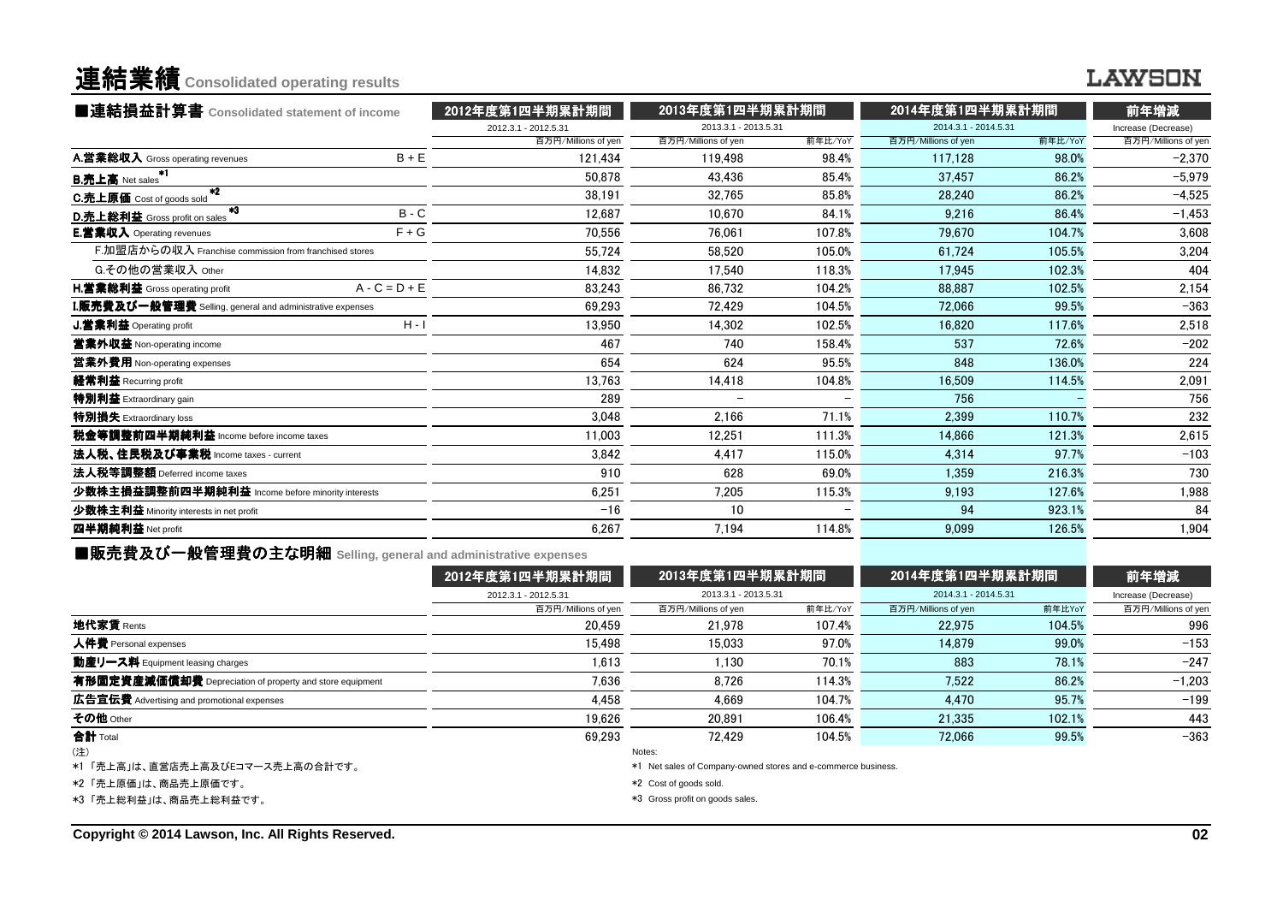### 連結業績**Consolidated operating results**

### **LAWSON**

| ■連結損益計算書 Consolidated statement of income                 |                 | 2012年度第1四半期累計期間      | 2013年度第1四半期累計期間      |         | 2014年度第1四半期累計期間      |         | 前年増減                |  |
|-----------------------------------------------------------|-----------------|----------------------|----------------------|---------|----------------------|---------|---------------------|--|
|                                                           |                 | 2012.3.1 - 2012.5.31 | 2013.3.1 - 2013.5.31 |         | 2014.3.1 - 2014.5.31 |         | Increase (Decrease) |  |
|                                                           |                 | 百万円/Millions of yen  | 百万円/Millions of yen  | 前年比/YoY | 百万円/Millions of yen  | 前年比/YoY | 百万円/Millions of yen |  |
| A 営業総収入 Gross operating revenues                          | $B + E$         | 121.434              | 119.498              | 98.4%   | 117.128              | 98.0%   | $-2,370$            |  |
| *1<br><b>B.売上高</b> Net sales                              |                 | 50.878               | 43.436               | 85.4%   | 37.457               | 86.2%   | $-5,979$            |  |
| $*2$<br>C.売上原価 Cost of goods sold                         |                 | 38.191               | 32.765               | 85.8%   | 28.240               | 86.2%   | $-4,525$            |  |
| $*3$<br>D.売上総利益 Gross profit on sales                     | $B - C$         | 12,687               | 10.670               | 84.1%   | 9.216                | 86.4%   | $-1,453$            |  |
| <b>E.営業収入</b> Operating revenues                          | $F + G$         | 70.556               | 76.061               | 107.8%  | 79.670               | 104.7%  | 3,608               |  |
| F.加盟店からの収入 Franchise commission from franchised stores    |                 | 55,724               | 58.520               | 105.0%  | 61.724               | 105.5%  | 3,204               |  |
| G.その他の営業収入 Other                                          |                 | 14,832               | 17.540               | 118.3%  | 17.945               | 102.3%  | 404                 |  |
| <b>H.営業総利益</b> Gross operating profit                     | $A - C = D + E$ | 83,243               | 86.732               | 104.2%  | 88.887               | 102.5%  | 2,154               |  |
| I.販売費及び一般管理費 Selling, general and administrative expenses |                 | 69,293               | 72.429               | 104.5%  | 72.066               | 99.5%   | $-363$              |  |
| J.営業利益 Operating profit                                   | $H - I$         | 13.950               | 14.302               | 102.5%  | 16.820               | 117.6%  | 2,518               |  |
| 営業外収益 Non-operating income                                |                 | 467                  | 740                  | 158.4%  | 537                  | 72.6%   | $-202$              |  |
| 當業外費用 Non-operating expenses                              |                 | 654                  | 624                  | 95.5%   | 848                  | 136.0%  | 224                 |  |
| 経常利益 Recurring profit                                     |                 | 13,763               | 14,418               | 104.8%  | 16,509               | 114.5%  | 2,091               |  |
| 特別利益 Extraordinary gain                                   |                 | 289                  |                      |         | 756                  |         | 756                 |  |
| 特別損失 Extraordinary loss                                   |                 | 3,048                | 2.166                | 71.1%   | 2.399                | 110.7%  | 232                 |  |
| 税金等調整前四半期純利益 Income before income taxes                   |                 | 11.003               | 12.251               | 111.3%  | 14.866               | 121.3%  | 2,615               |  |
| 法人税、住民税及び事業税 Income taxes - current                       |                 | 3,842                | 4.417                | 115.0%  | 4.314                | 97.7%   | $-103$              |  |
| 法人税等調整額 Deferred income taxes                             |                 | 910                  | 628                  | 69.0%   | 1.359                | 216.3%  | 730                 |  |
| 少数株主損益調整前四半期純利益 Income before minority interests          |                 | 6,251                | 7,205                | 115.3%  | 9,193                | 127.6%  | 1,988               |  |
| 少数株主利益 Minority interests in net profit                   |                 | $-16$                | 10                   |         | 94                   | 923.1%  | 84                  |  |
| 四半期純利益 Net profit                                         |                 | 6,267                | 7,194                | 114.8%  | 9.099                | 126.5%  | 1,904               |  |
|                                                           |                 |                      |                      |         |                      |         |                     |  |

■販売費及び一般管理費の主な明細 **Selling, general and administrative expenses**

|                                                          | 2012年度第1四半期累計期間      | 2013年度第1四半期累計期間<br>2013.3.1 - 2013.5.31                       |         | 2014年度第1四半期累計期間<br>2014.3.1 - 2014.5.31 |        | 前年増減                |
|----------------------------------------------------------|----------------------|---------------------------------------------------------------|---------|-----------------------------------------|--------|---------------------|
|                                                          | 2012.3.1 - 2012.5.31 |                                                               |         |                                         |        | Increase (Decrease) |
|                                                          | 百万円/Millions of yen  | 百万円/Millions of yen                                           | 前年比/YoY | 百万円/Millions of yen                     | 前年比YoY | 百万円/Millions of yen |
| 地代家賃 Rents                                               | 20.459               | 21.978                                                        | 107.4%  | 22.975                                  | 104.5% | 996                 |
| 人件費 Personal expenses                                    | 15.498               | 15.033                                                        | 97.0%   | 14.879                                  | 99.0%  | $-153$              |
| 動産リース料 Equipment leasing charges                         | 1.613                | 1.130                                                         | 70.1%   | 883                                     | 78.1%  | $-247$              |
| 有形固定資産減価償却費 Depreciation of property and store equipment | 7.636                | 8.726                                                         | 114.3%  | 7.522                                   | 86.2%  | $-1,203$            |
| 広告宣伝費 Advertising and promotional expenses               | 4.458                | 4.669                                                         | 104.7%  | 4.470                                   | 95.7%  | $-199$              |
| その他 Other                                                | 19.626               | 20.891                                                        | 106.4%  | 21.335                                  | 102.1% | 443                 |
| 合計 Total                                                 | 69.293               | 72.429                                                        | 104.5%  | 72.066                                  | 99.5%  | $-363$              |
| (注)                                                      |                      | Notes:                                                        |         |                                         |        |                     |
| *1「売上高」は、直営店売上高及びEコマース売上高の合計です。                          |                      | *1 Net sales of Company-owned stores and e-commerce business. |         |                                         |        |                     |
| *2「売上原価」は、商品売上原価です。                                      |                      | *2 Cost of goods sold.                                        |         |                                         |        |                     |
| *3「売上総利益」は、商品売上総利益です。                                    |                      | *3 Gross profit on goods sales.                               |         |                                         |        |                     |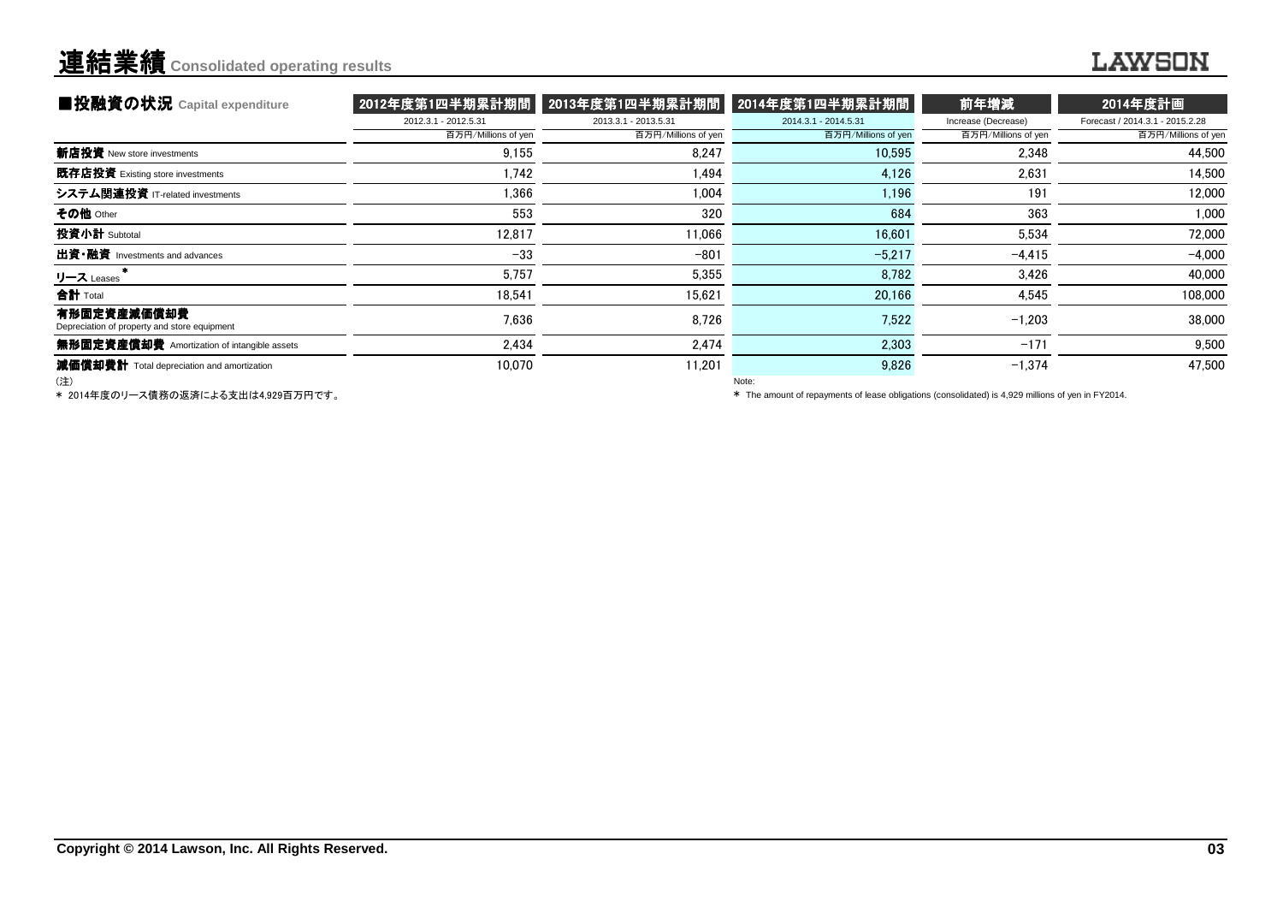## 連結業績**Consolidated operating results**

| ■投融資の状況 Capital expenditure                                 |                      | 2012年度第1四半期累計期間    2013年度第1四半期累計期間 | 2014年度第1四半期累計期間      | 前年増減                | 2014年度計画                        |
|-------------------------------------------------------------|----------------------|------------------------------------|----------------------|---------------------|---------------------------------|
|                                                             | 2012.3.1 - 2012.5.31 | 2013.3.1 - 2013.5.31               | 2014.3.1 - 2014.5.31 | Increase (Decrease) | Forecast / 2014.3.1 - 2015.2.28 |
|                                                             | 百万円/Millions of yen  | 百万円/Millions of yen                | 百万円/Millions of yen  | 百万円/Millions of yen | 百万円/Millions of yen             |
| 新店投資 New store investments                                  | 9.155                | 8.247                              | 10,595               | 2,348               | 44,500                          |
| 既存店投資 Existing store investments                            | 1.742                | 1.494                              | 4.126                | 2.631               | 14.500                          |
| システム関連投資 IT-related investments                             | 1.366                | 1.004                              | 1.196                | 191                 | 12,000                          |
| その他 Other                                                   | 553                  | 320                                | 684                  | 363                 | 1,000                           |
| 投資小計 Subtotal                                               | 12,817               | 11,066                             | 16,601               | 5,534               | 72,000                          |
| 出資•融資 Investments and advances                              | $-33$                | $-801$                             | $-5,217$             | $-4.415$            | $-4.000$                        |
| リース Leases                                                  | 5,757                | 5,355                              | 8,782                | 3,426               | 40,000                          |
| 合計 Total                                                    | 18,541               | 15,621                             | 20,166               | 4,545               | 108,000                         |
| 有形固定資産減価償却費<br>Depreciation of property and store equipment | 7,636                | 8,726                              | 7,522                | $-1,203$            | 38,000                          |
| 無形固定資産償却費 Amortization of intangible assets                 | 2.434                | 2,474                              | 2,303                | $-171$              | 9,500                           |
| 減価償却費計 Total depreciation and amortization<br>(注)           | 10.070               | 11.201                             | 9,826<br>Note:       | $-1,374$            | 47.500                          |

(注)

\* 2014年度のリース債務の返済による支出は4,929百万円です。

Note:

\* The amount of repayments of lease obligations (consolidated) is 4,929 millions of yen in FY2014.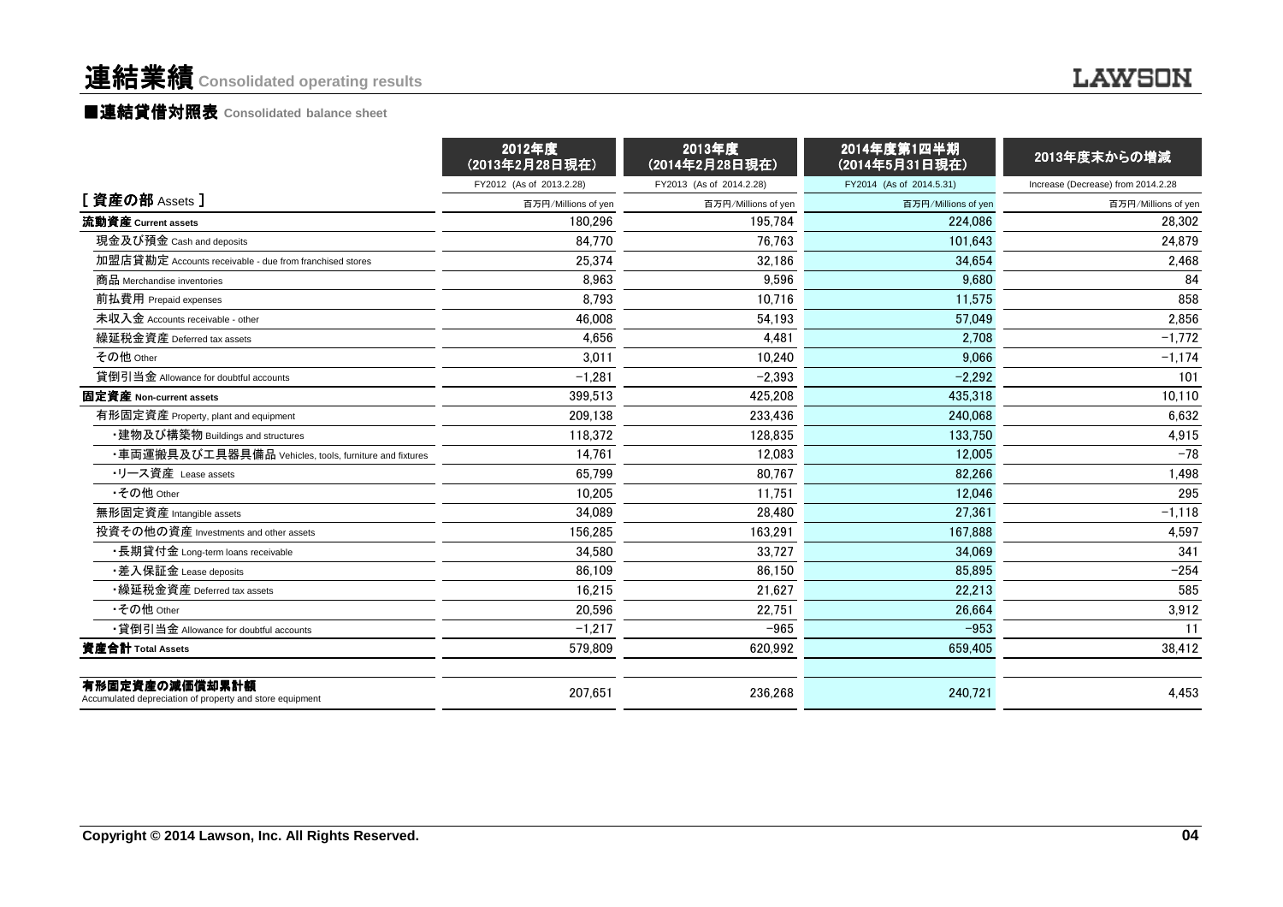#### ■連結貸借対照表 **Consolidated balance sheet**

|                                                                            | 2012年度<br>(2013年2月28日現在) | 2013年度<br>(2014年2月28日現在) | 2014年度第1四半期<br>(2014年5月31日現在) | 2013年度末からの増減                       |
|----------------------------------------------------------------------------|--------------------------|--------------------------|-------------------------------|------------------------------------|
|                                                                            | FY2012 (As of 2013.2.28) | FY2013 (As of 2014.2.28) | FY2014 (As of 2014.5.31)      | Increase (Decrease) from 2014.2.28 |
| [ 資産の部 Assets ]                                                            | 百万円/Millions of yen      | 百万円/Millions of yen      | 百万円/Millions of yen           | 百万円/Millions of yen                |
| 流動資産 Current assets                                                        | 180.296                  | 195.784                  | 224.086                       | 28,302                             |
| 現金及び預金 Cash and deposits                                                   | 84,770                   | 76,763                   | 101,643                       | 24,879                             |
| 加盟店貸勘定 Accounts receivable - due from franchised stores                    | 25.374                   | 32,186                   | 34.654                        | 2,468                              |
| 商品 Merchandise inventories                                                 | 8.963                    | 9.596                    | 9.680                         | 84                                 |
| 前払費用 Prepaid expenses                                                      | 8,793                    | 10,716                   | 11.575                        | 858                                |
| 未収入金 Accounts receivable - other                                           | 46.008                   | 54,193                   | 57.049                        | 2,856                              |
| 繰延税金資産 Deferred tax assets                                                 | 4.656                    | 4.481                    | 2.708                         | $-1,772$                           |
| その他 Other                                                                  | 3,011                    | 10,240                   | 9,066                         | $-1,174$                           |
| 貸倒引当金 Allowance for doubtful accounts                                      | $-1,281$                 | $-2,393$                 | $-2.292$                      | 101                                |
| 固定資産 Non-current assets                                                    | 399,513                  | 425,208                  | 435,318                       | 10,110                             |
| 有形固定資産 Property, plant and equipment                                       | 209,138                  | 233.436                  | 240.068                       | 6.632                              |
| ・建物及び構築物 Buildings and structures                                          | 118,372                  | 128,835                  | 133,750                       | 4,915                              |
| ・車両運搬具及び工具器具備品 Vehicles, tools, furniture and fixtures                     | 14,761                   | 12,083                   | 12,005                        | $-78$                              |
| ・リース資産 Lease assets                                                        | 65,799                   | 80,767                   | 82,266                        | 1,498                              |
| •その他 Other                                                                 | 10.205                   | 11.751                   | 12.046                        | 295                                |
| 無形固定資産 Intangible assets                                                   | 34,089                   | 28,480                   | 27.361                        | $-1,118$                           |
| 投資その他の資産 Investments and other assets                                      | 156.285                  | 163.291                  | 167.888                       | 4.597                              |
| ・長期貸付金 Long-term loans receivable                                          | 34,580                   | 33,727                   | 34.069                        | 341                                |
| ・差入保証金 Lease deposits                                                      | 86.109                   | 86.150                   | 85.895                        | $-254$                             |
| •繰延税金資産 Deferred tax assets                                                | 16,215                   | 21.627                   | 22.213                        | 585                                |
| •その他 Other                                                                 | 20.596                   | 22,751                   | 26.664                        | 3,912                              |
| •貸倒引当金 Allowance for doubtful accounts                                     | $-1,217$                 | $-965$                   | $-953$                        | 11                                 |
| 資産合計 Total Assets                                                          | 579.809                  | 620.992                  | 659.405                       | 38,412                             |
| 有形固定資産の減価償却累計額<br>Accumulated depreciation of property and store equipment | 207,651                  | 236,268                  | 240,721                       | 4,453                              |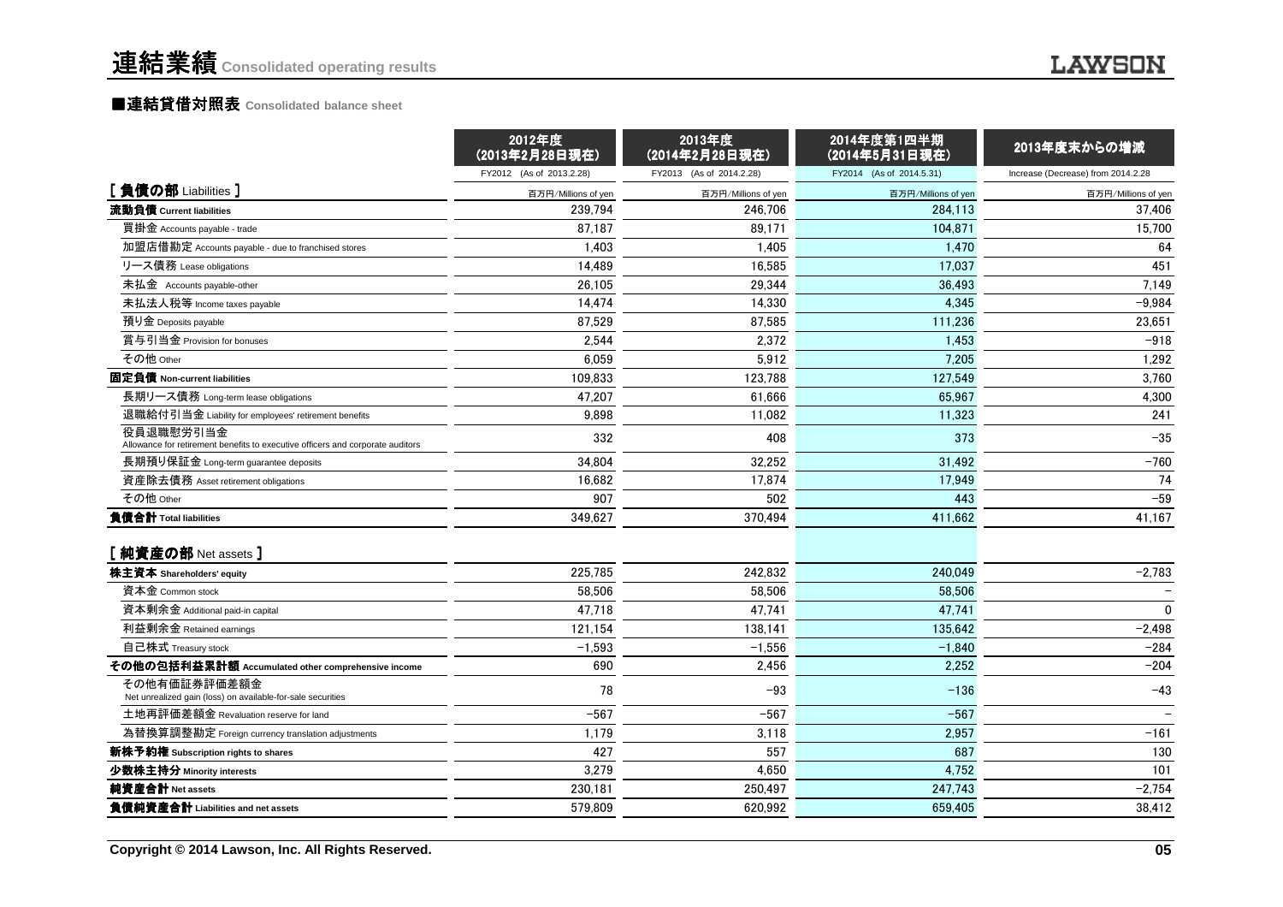|                                                                                             | 2012年度<br>(2013年2月28日現在) | 2013年度<br>(2014年2月28日現在) | 2014年度第1四半期<br>(2014年5月31日現在) | 2013年度末からの増減                       |
|---------------------------------------------------------------------------------------------|--------------------------|--------------------------|-------------------------------|------------------------------------|
|                                                                                             | FY2012 (As of 2013.2.28) | FY2013 (As of 2014.2.28) | FY2014 (As of 2014.5.31)      | Increase (Decrease) from 2014.2.28 |
| [負債の部 Liabilities]                                                                          | 百万円/Millions of yen      | 百万円/Millions of yen      | 百万円/Millions of yen           | 百万円/Millions of yen                |
| 流動負債 Current liabilities                                                                    | 239.794                  | 246,706                  | 284.113                       | 37,406                             |
| 買掛金 Accounts payable - trade                                                                | 87.187                   | 89.171                   | 104.871                       | 15,700                             |
| 加盟店借勘定 Accounts payable - due to franchised stores                                          | 1,403                    | 1,405                    | 1,470                         | 64                                 |
| リース債務 Lease obligations                                                                     | 14.489                   | 16,585                   | 17.037                        | 451                                |
| 未払金 Accounts payable-other                                                                  | 26.105                   | 29,344                   | 36,493                        | 7,149                              |
| 未払法人税等 Income taxes payable                                                                 | 14.474                   | 14,330                   | 4.345                         | $-9,984$                           |
| 預り金 Deposits payable                                                                        | 87,529                   | 87,585                   | 111,236                       | 23,651                             |
| 賞与引当金 Provision for bonuses                                                                 | 2,544                    | 2,372                    | 1.453                         | $-918$                             |
| その他 Other                                                                                   | 6,059                    | 5,912                    | 7,205                         | 1,292                              |
| 固定負債 Non-current liabilities                                                                | 109.833                  | 123,788                  | 127.549                       | 3,760                              |
| 長期リース債務 Long-term lease obligations                                                         | 47,207                   | 61,666                   | 65,967                        | 4,300                              |
| 退職給付引当金 Liability for employees' retirement benefits                                        | 9.898                    | 11.082                   | 11.323                        | 241                                |
| 役員退職慰労引当金<br>Allowance for retirement benefits to executive officers and corporate auditors | 332                      | 408                      | 373                           | $-35$                              |
| 長期預り保証金 Long-term guarantee deposits                                                        | 34,804                   | 32,252                   | 31,492                        | $-760$                             |
| 資産除去債務 Asset retirement obligations                                                         | 16.682                   | 17,874                   | 17.949                        | 74                                 |
| その他 Other                                                                                   | 907                      | 502                      | 443                           | $-59$                              |
| 負債合計 Total liabilities                                                                      | 349.627                  | 370,494                  | 411.662                       | 41,167                             |
| [ 純資産の部 Net assets ]                                                                        |                          |                          |                               |                                    |
| 株主資本 Shareholders' equity                                                                   | 225,785                  | 242,832                  | 240,049                       | $-2,783$                           |
| 資本金 Common stock                                                                            | 58.506                   | 58,506                   | 58,506                        |                                    |
| 資本剰余金 Additional paid-in capital                                                            | 47,718                   | 47,741                   | 47,741                        | $\mathbf 0$                        |
| 利益剰余金 Retained earnings                                                                     | 121,154                  | 138.141                  | 135,642                       | $-2,498$                           |
| 自己株式 Treasury stock                                                                         | $-1,593$                 | $-1,556$                 | $-1,840$                      | $-284$                             |
| その他の包括利益累計額 Accumulated other comprehensive income                                          | 690                      | 2,456                    | 2.252                         | $-204$                             |
| その他有価証券評価差額金<br>Net unrealized gain (loss) on available-for-sale securities                 | 78                       | $-93$                    | $-136$                        | $-43$                              |
| 土地再評価差額金 Revaluation reserve for land                                                       | $-567$                   | $-567$                   | $-567$                        |                                    |
| 為替換算調整勘定 Foreign currency translation adjustments                                           | 1,179                    | 3,118                    | 2.957                         | $-161$                             |
| 新株予約権 Subscription rights to shares                                                         | 427                      | 557                      | 687                           | 130                                |
| 少数株主持分 Minority interests                                                                   | 3,279                    | 4,650                    | 4,752                         | 101                                |
| 純資産合計 Net assets                                                                            | 230,181                  | 250,497                  | 247,743                       | $-2,754$                           |
| 負債純資産合計 Liabilities and net assets                                                          | 579,809                  | 620,992                  | 659,405                       | 38,412                             |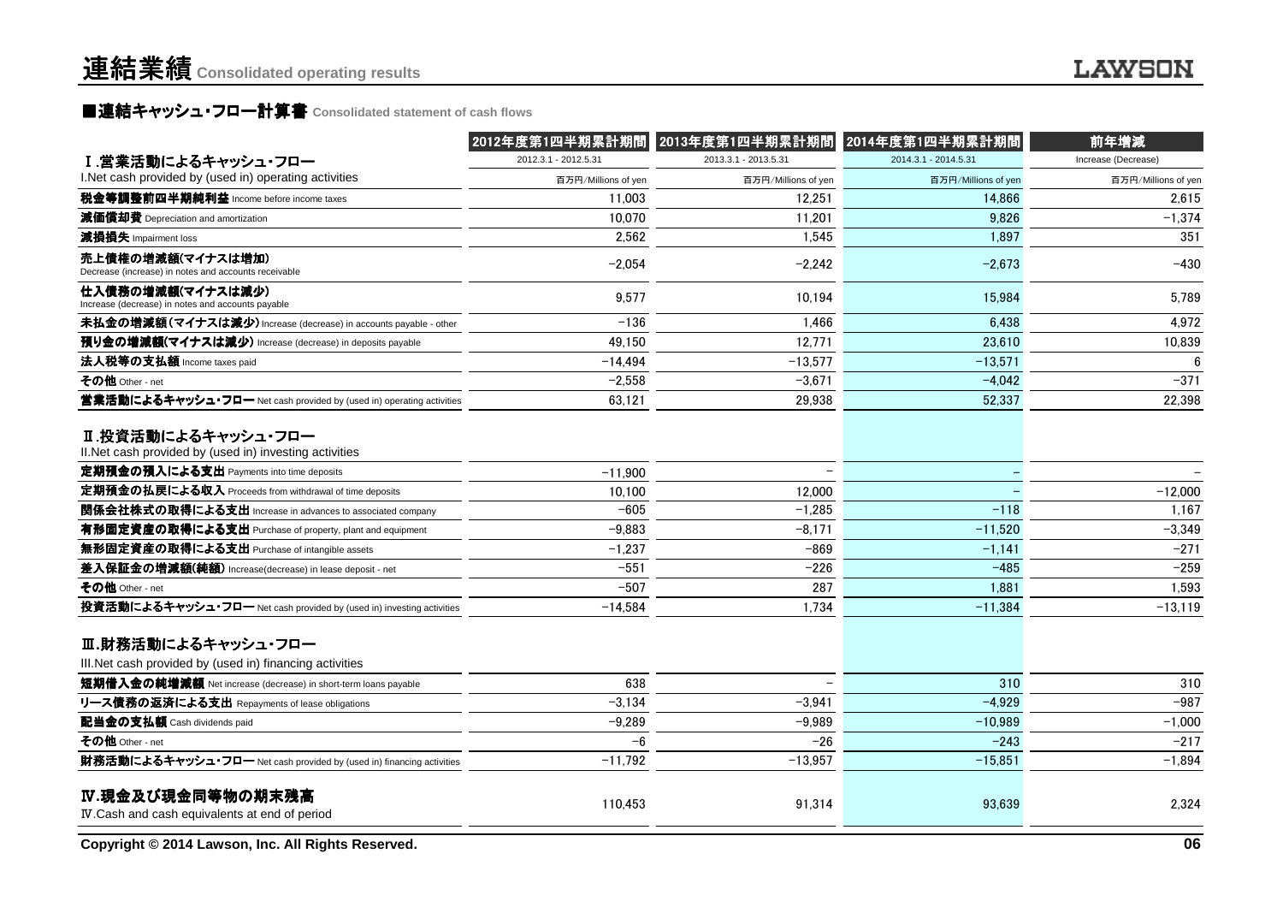### **■連結キャッシュ・フロー計算書** Consolidated statement of cash flows<br>————————————————————

|                                                                                | 2012年度第1四半期累計期間      | 2013年度第1四半期累計期間      | 2014年度第1四半期累計期間      | 前年増減                |
|--------------------------------------------------------------------------------|----------------------|----------------------|----------------------|---------------------|
| I.営業活動によるキャッシュ・フロー                                                             | 2012.3.1 - 2012.5.31 | 2013.3.1 - 2013.5.31 | 2014.3.1 - 2014.5.31 | Increase (Decrease) |
| I. Net cash provided by (used in) operating activities                         | 百万円/Millions of yen  | 百万円/Millions of yen  | 百万円/Millions of yen  | 百万円/Millions of yen |
| 税金等調整前四半期純利益 Income before income taxes                                        | 11,003               | 12.251               | 14,866               | 2,615               |
| 減価償却費 Depreciation and amortization                                            | 10,070               | 11,201               | 9,826                | $-1,374$            |
| 減損損失 Impairment loss                                                           | 2,562                | 1.545                | 1,897                | 351                 |
| 売上債権の増減額(マイナスは増加)<br>Decrease (increase) in notes and accounts receivable      | $-2.054$             | $-2.242$             | $-2.673$             | $-430$              |
| 仕入債務の増減額(マイナスは減少)<br>Increase (decrease) in notes and accounts payable         | 9,577                | 10,194               | 15,984               | 5,789               |
| 未払金の増減額(マイナスは減少) Increase (decrease) in accounts payable - other               | $-136$               | 1.466                | 6.438                | 4,972               |
| 預り金の増減額(マイナスは減少) Increase (decrease) in deposits payable                       | 49.150               | 12,771               | 23,610               | 10,839              |
| 法人税等の支払額 Income taxes paid                                                     | $-14,494$            | $-13,577$            | $-13,571$            | 6                   |
| その他 Other - net                                                                | $-2,558$             | $-3.671$             | $-4.042$             | $-371$              |
| 営業活動によるキャッシュ・フロー Net cash provided by (used in) operating activities           | 63.121               | 29.938               | 52.337               | 22.398              |
| Ⅱ.投資活動によるキャッシュ・フロー<br>II. Net cash provided by (used in) investing activities  |                      |                      |                      |                     |
| 定期預金の預入による支出 Payments into time deposits                                       | $-11,900$            |                      |                      |                     |
| 定期預金の払戻による収入 Proceeds from withdrawal of time deposits                         | 10.100               | 12.000               |                      | $-12,000$           |
| 関係会社株式の取得による支出 Increase in advances to associated company                      | $-605$               | $-1.285$             | $-118$               | 1,167               |
| 有形固定資産の取得による支出 Purchase of property, plant and equipment                       | $-9.883$             | $-8,171$             | $-11,520$            | $-3,349$            |
| 無形固定資産の取得による支出 Purchase of intangible assets                                   | $-1,237$             | $-869$               | $-1,141$             | $-271$              |
| 差入保証金の増減額(純額) Increase(decrease) in lease deposit - net                        | $-551$               | $-226$               | $-485$               | $-259$              |
| その他 Other - net                                                                | $-507$               | 287                  | 1.881                | 1.593               |
| 投資活動によるキャッシュ・フロー Net cash provided by (used in) investing activities           | $-14,584$            | 1.734                | $-11,384$            | $-13,119$           |
| Ⅲ.財務活動によるキャッシュ・フロー<br>III. Net cash provided by (used in) financing activities |                      |                      |                      |                     |
| 短期借入金の純増減額 Net increase (decrease) in short-term loans payable                 | 638                  |                      | 310                  | 310                 |
| リース債務の返済による支出 Repayments of lease obligations                                  | $-3.134$             | $-3.941$             | $-4.929$             | $-987$              |
| 配当金の支払額 Cash dividends paid                                                    | $-9,289$             | $-9,989$             | $-10,989$            | $-1,000$            |
| その他 Other - net                                                                | -6                   | $-26$                | $-243$               | $-217$              |
| 財務活動によるキャッシュ・フロー Net cash provided by (used in) financing activities           | $-11,792$            | $-13,957$            | $-15,851$            | $-1,894$            |
| IV.現金及び現金同等物の期末残高<br>IV. Cash and cash equivalents at end of period            | 110,453              | 91,314               | 93,639               | 2,324               |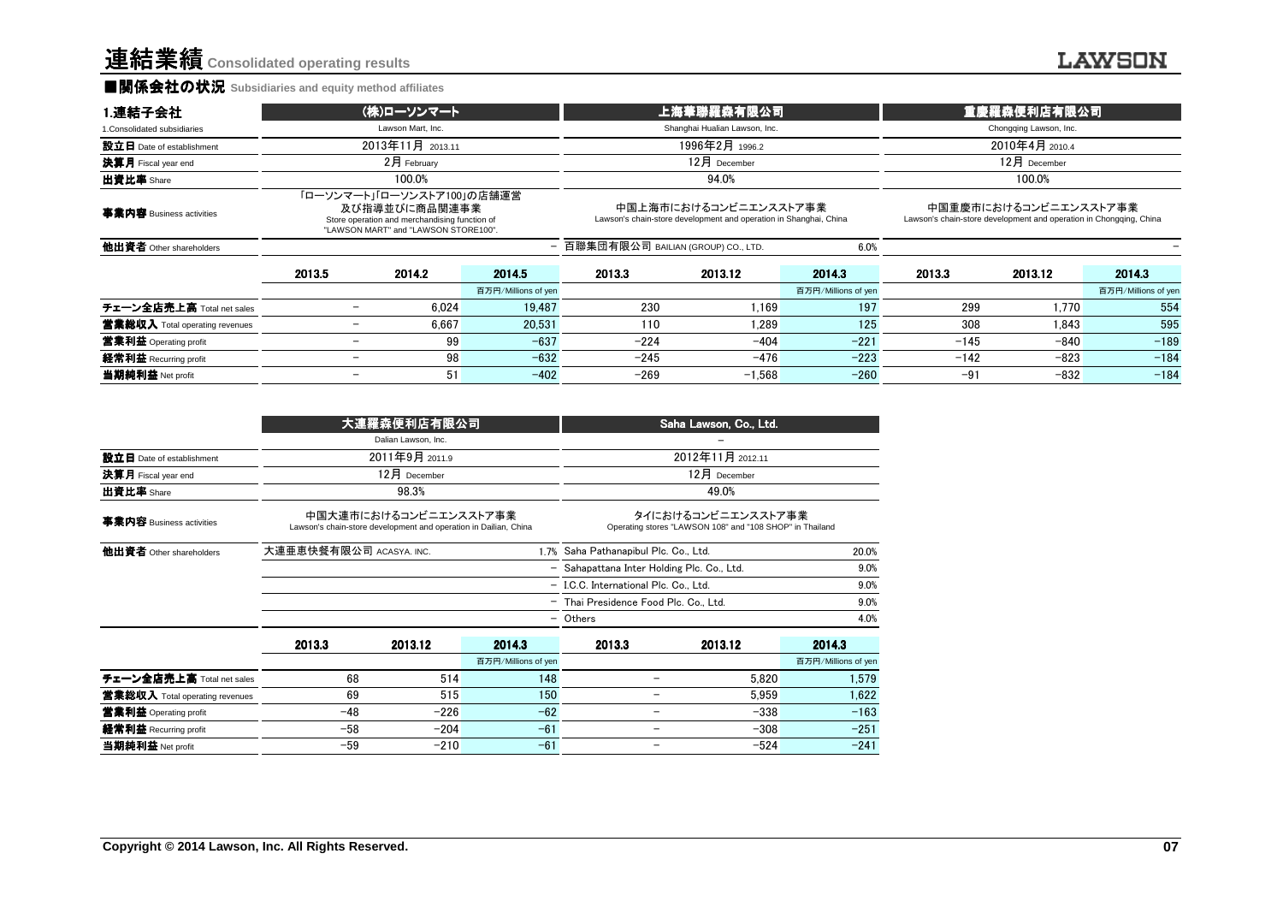#### ■関係会社の状況 **Subsidiaries and equity method affiliates**

#### **LAWSON**

| 1.連結子会社                        | (株)ローソンマート               |                                                                                                                                      | <u>ˈ上海華聯羅</u> 森有限公司,          |                                                                                            |                               | 重慶羅森便利店有限公司                                                                                 |        |                        |                               |  |
|--------------------------------|--------------------------|--------------------------------------------------------------------------------------------------------------------------------------|-------------------------------|--------------------------------------------------------------------------------------------|-------------------------------|---------------------------------------------------------------------------------------------|--------|------------------------|-------------------------------|--|
| 1. Consolidated subsidiaries   |                          | Lawson Mart, Inc.                                                                                                                    |                               |                                                                                            | Shanghai Hualian Lawson, Inc. |                                                                                             |        | Chongqing Lawson, Inc. |                               |  |
| 設立日 Date of establishment      |                          | 2013年11月 2013.11                                                                                                                     |                               |                                                                                            | 1996年2月 1996.2                |                                                                                             |        | 2010年4月 2010.4         |                               |  |
| 決算月 Fiscal year end            |                          | $2月$ February                                                                                                                        |                               |                                                                                            | $12$ 月 December               |                                                                                             |        | $12月$ December         |                               |  |
| 出資比率 Share                     |                          | 100.0%                                                                                                                               |                               | 94.0%                                                                                      |                               |                                                                                             | 100.0% |                        |                               |  |
| 事業内容 Business activities       |                          | 「ローソンマート」「ローソンストア100」の店舗運営<br>及び指導並びに商品関連事業<br>Store operation and merchandising function of<br>"LAWSON MART" and "LAWSON STORE100". |                               | 中国上海市におけるコンビニエンスストア事業<br>Lawson's chain-store development and operation in Shanghai, China |                               | 中国重慶市におけるコンビニエンスストア事業<br>Lawson's chain-store development and operation in Chongqing, China |        |                        |                               |  |
| 他出資者 Other shareholders        |                          |                                                                                                                                      |                               | - 百聯集団有限公司 BAILIAN (GROUP) CO., LTD.                                                       |                               | 6.0%                                                                                        |        |                        |                               |  |
|                                | 2013.5                   | 2014.2                                                                                                                               | 2014.5<br>百万円/Millions of yen | 2013.3                                                                                     | 2013.12                       | 2014.3<br>百万円/Millions of yen                                                               | 2013.3 | 2013.12                | 2014.3<br>百万円/Millions of yen |  |
| チェーン全店売上高 Total net sales      |                          | 6.024                                                                                                                                | 19.487                        | 230                                                                                        | 1.169                         | 197                                                                                         | 299    | 1.770                  | 554                           |  |
| 営業総収入 Total operating revenues |                          | 6.667                                                                                                                                | 20.531                        | 110                                                                                        | 1.289                         | 125                                                                                         | 308    | 1.843                  | 595                           |  |
| 営業利益 Operating profit          |                          | 99                                                                                                                                   | $-637$                        | $-224$                                                                                     | $-404$                        | $-221$                                                                                      | $-145$ | $-840$                 | $-189$                        |  |
| 経常利益 Recurring profit          |                          | 98                                                                                                                                   | $-632$                        | $-245$                                                                                     | $-476$                        | $-223$                                                                                      | $-142$ | $-823$                 | $-184$                        |  |
| 当期純利益 Net profit               | $\overline{\phantom{a}}$ | 51                                                                                                                                   | $-402$                        | $-269$                                                                                     | $-1.568$                      | $-260$                                                                                      | $-91$  | $-832$                 | $-184$                        |  |

|                                | 大連羅森便利店有限公司             |                                                                                           |                     | Saha Lawson, Co., Ltd.                                                         |                                       |                     |  |
|--------------------------------|-------------------------|-------------------------------------------------------------------------------------------|---------------------|--------------------------------------------------------------------------------|---------------------------------------|---------------------|--|
|                                |                         | Dalian Lawson, Inc.                                                                       |                     |                                                                                |                                       |                     |  |
| 設立日 Date of establishment      |                         | 2011年9月 2011.9                                                                            |                     | 2012年11月 2012.11                                                               |                                       |                     |  |
| 決算月 Fiscal year end            |                         | $12$ 月 December                                                                           |                     |                                                                                | 12月 December                          |                     |  |
| 出資比率 Share                     |                         | 98.3%                                                                                     |                     |                                                                                | 49.0%                                 |                     |  |
| 事業内容 Business activities       |                         | 中国大連市におけるコンビニエンスストア事業<br>Lawson's chain-store development and operation in Dailian, China |                     | タイにおけるコンビニエンスストア事業<br>Operating stores "LAWSON 108" and "108 SHOP" in Thailand |                                       |                     |  |
| 他出資者 Other shareholders        | 大連亜恵快餐有限公司 ACASYA. INC. |                                                                                           | 1.7%                | Saha Pathanapibul Plc. Co., Ltd.                                               | 20.0%                                 |                     |  |
|                                |                         |                                                                                           | -                   | Sahapattana Inter Holding Plc. Co., Ltd.                                       | 9.0%                                  |                     |  |
|                                |                         |                                                                                           |                     |                                                                                | - I.C.C. International Plc. Co., Ltd. | 9.0%                |  |
|                                |                         |                                                                                           |                     | - Thai Presidence Food Plc. Co., Ltd.                                          |                                       | 9.0%                |  |
|                                |                         |                                                                                           | $\qquad \qquad -$   | Others                                                                         |                                       | 4.0%                |  |
|                                | 2013.3                  | 2013.12                                                                                   | 2014.3              | 2013.3                                                                         | 2013.12                               | 2014.3              |  |
|                                |                         |                                                                                           | 百万円/Millions of yen |                                                                                |                                       | 百万円/Millions of yer |  |
| チェーン全店売上高 Total net sales      | 68                      | 514                                                                                       | 148                 | -                                                                              | 5.820                                 | 1.579               |  |
| 営業総収入 Total operating revenues | 69                      | 515                                                                                       | 150                 | -                                                                              | 5.959                                 | 1,622               |  |
| 営業利益 Operating profit          | $-48$                   | $-226$                                                                                    | $-62$               | -                                                                              | $-338$                                | $-163$              |  |
| 経常利益 Recurring profit          | $-58$                   | $-204$                                                                                    | $-61$               | -                                                                              | $-308$                                | $-251$              |  |
| 当期純利益 Net profit               | $-59$                   | $-210$                                                                                    | $-61$               | ۰                                                                              | $-524$                                | $-241$              |  |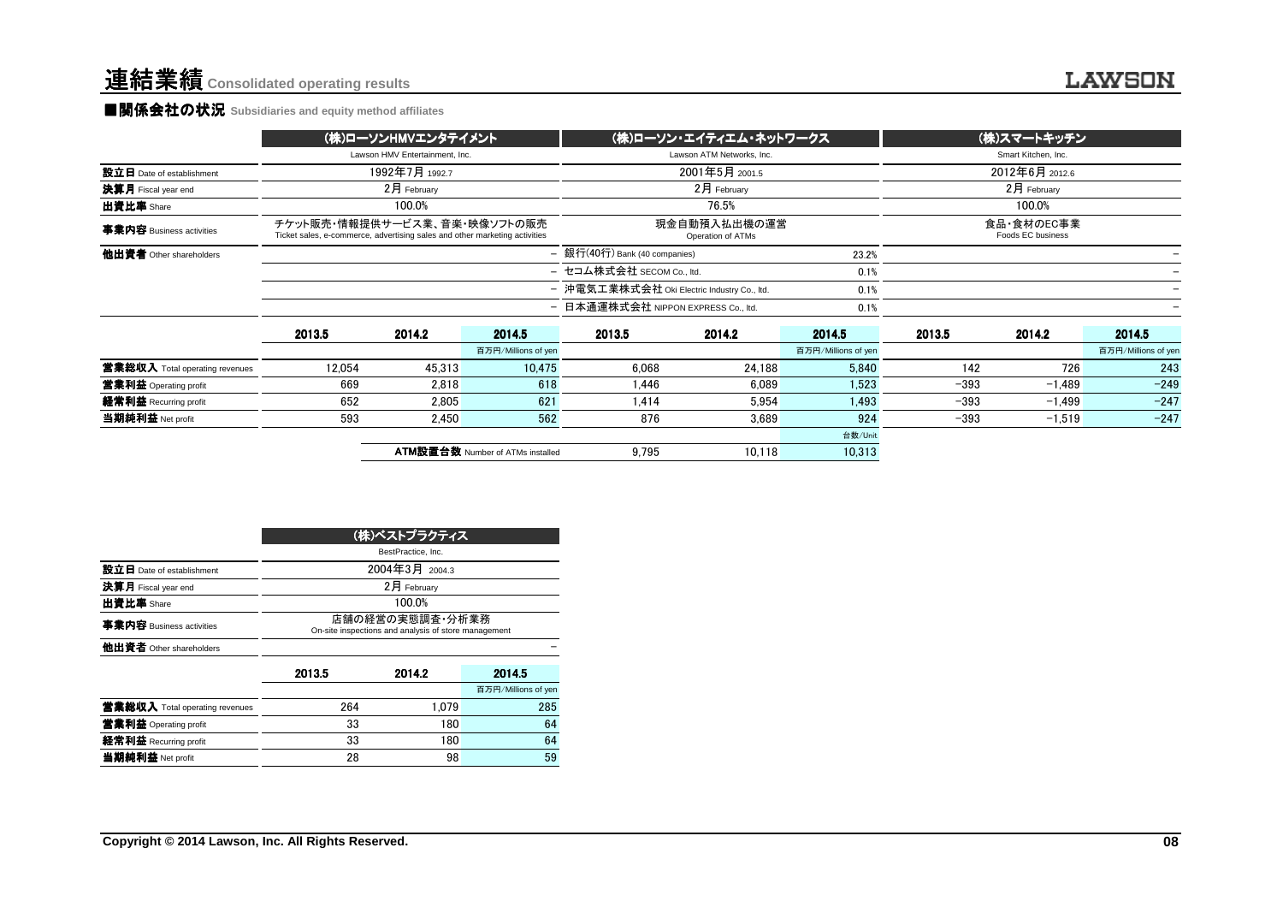#### **■関係会社の状況 Subsidiaries and equity method affiliates**

|                                                                                                            |             |                |                                                      |                                                                                 |                                                                                                                                                                               | Smart Kitchen, Inc.            |                   |                           |
|------------------------------------------------------------------------------------------------------------|-------------|----------------|------------------------------------------------------|---------------------------------------------------------------------------------|-------------------------------------------------------------------------------------------------------------------------------------------------------------------------------|--------------------------------|-------------------|---------------------------|
|                                                                                                            |             |                |                                                      | 2001年5月 2001.5                                                                  |                                                                                                                                                                               | 2012年6月 2012.6                 |                   |                           |
|                                                                                                            | 2月 February |                |                                                      | 2月 February                                                                     |                                                                                                                                                                               |                                | $2月$ February     |                           |
|                                                                                                            | 100.0%      |                |                                                      | 76.5%                                                                           |                                                                                                                                                                               |                                | 100.0%            |                           |
| チケット販売・情報提供サービス業、音楽・映像ソフトの販売<br>Ticket sales, e-commerce, advertising sales and other marketing activities |             |                | 現金自動預入払出機の運営<br>Operation of ATMs                    |                                                                                 |                                                                                                                                                                               |                                | Foods EC business |                           |
|                                                                                                            |             |                |                                                      |                                                                                 | 23.2%                                                                                                                                                                         |                                |                   |                           |
|                                                                                                            |             |                |                                                      |                                                                                 |                                                                                                                                                                               |                                |                   |                           |
|                                                                                                            |             |                |                                                      |                                                                                 | 0.1%                                                                                                                                                                          |                                |                   |                           |
|                                                                                                            |             |                | 0.1%                                                 |                                                                                 |                                                                                                                                                                               |                                |                   |                           |
| 2013.5                                                                                                     | 2014.2      | 2014.5         | 2013.5                                               | 2014.2                                                                          | 2014.5                                                                                                                                                                        | 2013.5                         | 2014.2            | 2014.5                    |
|                                                                                                            |             |                |                                                      |                                                                                 | 百万円/Millions of yen                                                                                                                                                           |                                |                   | 百万円/Millions of yen       |
| 12.054                                                                                                     | 45,313      |                | 6.068                                                | 24,188                                                                          | 5,840                                                                                                                                                                         | 142                            | 726               | 243                       |
| 669                                                                                                        | 2.818       | 618            | 1.446                                                | 6.089                                                                           | 1.523                                                                                                                                                                         | $-393$                         | $-1.489$          | $-249$                    |
| 652                                                                                                        | 2.805       | 621            | 1.414                                                | 5.954                                                                           | 1,493                                                                                                                                                                         | $-393$                         | $-1.499$          | $-247$                    |
| 593                                                                                                        | 2,450       |                | 876                                                  | 3,689                                                                           | 924                                                                                                                                                                           | $-393$                         | $-1,519$          | $-247$                    |
|                                                                                                            |             |                |                                                      |                                                                                 | 台数/Unit                                                                                                                                                                       |                                |                   |                           |
|                                                                                                            |             |                | 9.795                                                | 10.118                                                                          | 10,313                                                                                                                                                                        |                                |                   |                           |
|                                                                                                            |             | 1992年7月 1992.7 | (株)ローソンHMVエンタテイメント<br>Lawson HMV Entertainment, Inc. | 百万円/Millions of yen<br>10.475<br>562<br><b>ATM設置台数 Number of ATMs installed</b> | Lawson ATM Networks, Inc.<br>- 銀行(40行) Bank (40 companies)<br>- セコム株式会社 SECOM Co., ltd.<br>- 沖電気工業株式会社 Oki Electric Industry Co., ltd.<br>- 日本通運株式会社 NIPPON EXPRESS Co., ltd. | (株)ローソン・エイティエム・ネットワークス<br>0.1% |                   | (株)スマートキッチン<br>食品·食材のEC事業 |

|                                |                                                                         | (株)ベストプラクティス |                     |  |  |  |  |
|--------------------------------|-------------------------------------------------------------------------|--------------|---------------------|--|--|--|--|
|                                | BestPractice, Inc.                                                      |              |                     |  |  |  |  |
| 設立日 Date of establishment      | 2004年3月 2004.3                                                          |              |                     |  |  |  |  |
| 決算月 Fiscal year end            |                                                                         | 2月 Februarv  |                     |  |  |  |  |
| 出資比率 Share                     |                                                                         | 100.0%       |                     |  |  |  |  |
| 事業内容 Business activities       | 店舗の経営の実熊調査・分析業務<br>On-site inspections and analysis of store management |              |                     |  |  |  |  |
| 他出資者 Other shareholders        |                                                                         |              |                     |  |  |  |  |
|                                | 2013.5                                                                  | 2014.2       | 2014.5              |  |  |  |  |
|                                |                                                                         |              | 百万円/Millions of yen |  |  |  |  |
| 営業総収入 Total operating revenues | 264                                                                     | 1.079        | 285                 |  |  |  |  |
| 営業利益 Operating profit          | 33                                                                      | 180          | 64                  |  |  |  |  |
| 経常利益 Recurring profit          | 33                                                                      | 180          | 64                  |  |  |  |  |
| 当期純利益 Net profit               | 28                                                                      | 98           | 59                  |  |  |  |  |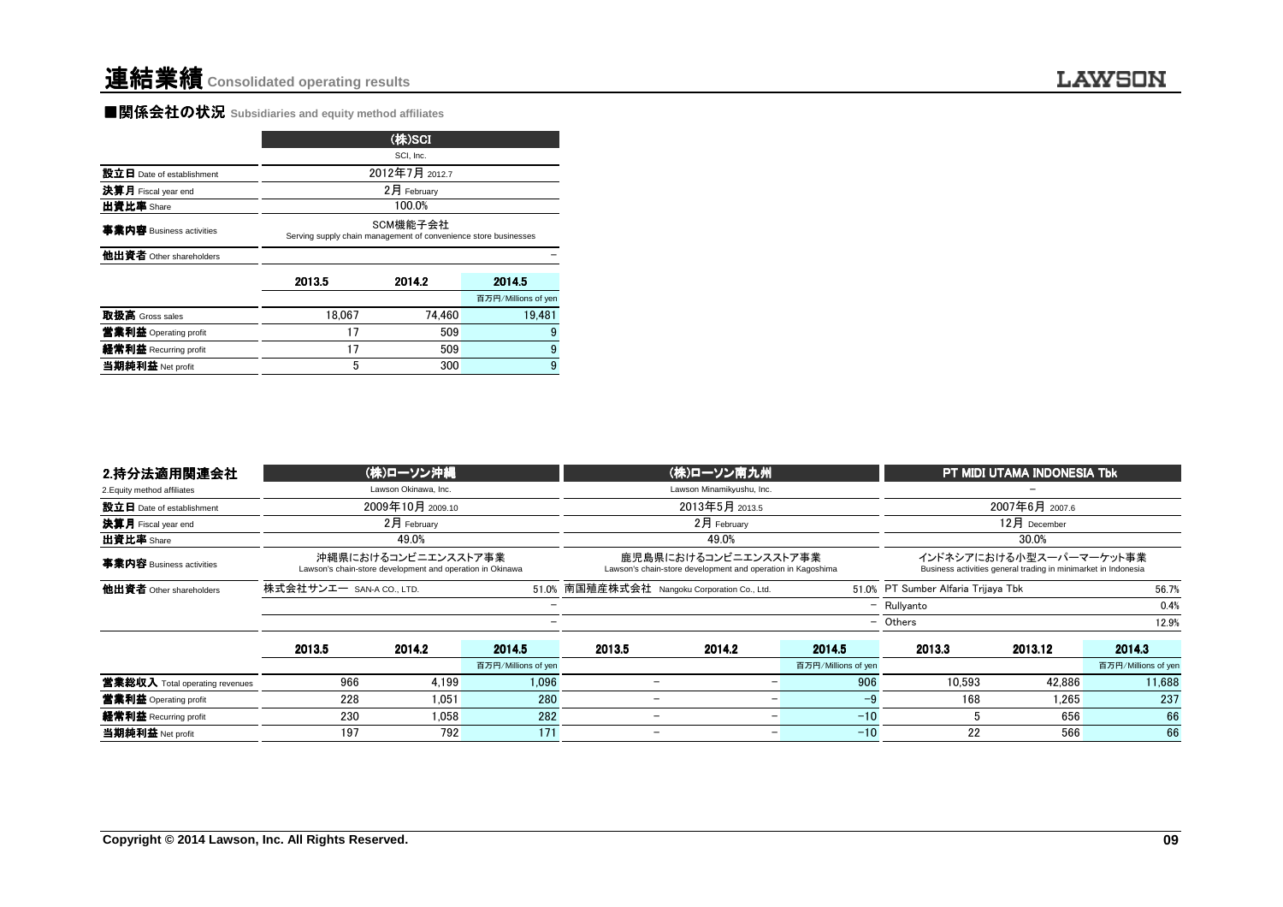### **LAWSON**

#### **■関係会社の状況** Subsidiaries and equity method affiliates

|                           |                                                                             | (株)SCI      |                     |  |  |  |  |  |
|---------------------------|-----------------------------------------------------------------------------|-------------|---------------------|--|--|--|--|--|
|                           | SCI, Inc.                                                                   |             |                     |  |  |  |  |  |
| 設立日 Date of establishment | 2012年7月 2012.7                                                              |             |                     |  |  |  |  |  |
| 決算月 Fiscal year end       |                                                                             | 2月 February |                     |  |  |  |  |  |
| 出資比率 Share                |                                                                             | 100.0%      |                     |  |  |  |  |  |
| 事業内容 Business activities  | SCM機能子会社<br>Serving supply chain management of convenience store businesses |             |                     |  |  |  |  |  |
| 他出資者 Other shareholders   |                                                                             |             |                     |  |  |  |  |  |
|                           | 2013.5                                                                      | 2014.2      | 2014.5              |  |  |  |  |  |
|                           |                                                                             |             | 百万円/Millions of yen |  |  |  |  |  |
| 取扱高 Gross sales           | 18.067                                                                      | 74.460      | 19.481              |  |  |  |  |  |
| 営業利益 Operating profit     | 17                                                                          | 509         | 9                   |  |  |  |  |  |
| 経常利益 Recurring profit     | 17                                                                          | 509         | 9                   |  |  |  |  |  |
| 当期純利益 Net profit          | 5                                                                           | 300         | 9                   |  |  |  |  |  |

| 出資比率 Share                     |                                                                 | 100.0%                                                                           |                     |                                                                                     |                                  |                                     |                                                                                           |                     |
|--------------------------------|-----------------------------------------------------------------|----------------------------------------------------------------------------------|---------------------|-------------------------------------------------------------------------------------|----------------------------------|-------------------------------------|-------------------------------------------------------------------------------------------|---------------------|
| 事業内容 Business activities       | Serving supply chain management of convenience store businesses | SCM機能子会社                                                                         |                     |                                                                                     |                                  |                                     |                                                                                           |                     |
| 他出資者 Other shareholders        |                                                                 |                                                                                  |                     |                                                                                     |                                  |                                     |                                                                                           |                     |
|                                | 2013.5                                                          | 2014.2                                                                           | 2014.5              |                                                                                     |                                  |                                     |                                                                                           |                     |
|                                |                                                                 |                                                                                  | 百万円/Millions of yen |                                                                                     |                                  |                                     |                                                                                           |                     |
| 取扱高 Gross sales                | 18.067                                                          | 74.460                                                                           | 19,481              |                                                                                     |                                  |                                     |                                                                                           |                     |
| 営業利益 Operating profit          | 17                                                              | 509                                                                              |                     |                                                                                     |                                  |                                     |                                                                                           |                     |
| 経常利益 Recurring profit          | 17                                                              | 509                                                                              |                     |                                                                                     |                                  |                                     |                                                                                           |                     |
| 当期純利益 Net profit               | 5                                                               | 300                                                                              | 9                   |                                                                                     |                                  |                                     |                                                                                           |                     |
|                                |                                                                 |                                                                                  |                     |                                                                                     |                                  |                                     |                                                                                           |                     |
| 2.持分法適用関連会社                    |                                                                 | (株)ローソン沖縄                                                                        |                     | (株)ローソン南九州                                                                          |                                  |                                     | PT MIDI UTAMA INDONESIA Tbk                                                               |                     |
|                                | Lawson Okinawa, Inc.                                            |                                                                                  |                     |                                                                                     |                                  |                                     |                                                                                           |                     |
| 2. Equity method affiliates    |                                                                 |                                                                                  |                     | Lawson Minamikyushu, Inc.                                                           |                                  |                                     |                                                                                           |                     |
| 設立日 Date of establishment      |                                                                 | 2009年10月 2009.10                                                                 |                     | 2013年5月 2013.5                                                                      |                                  |                                     | 2007年6月 2007.6                                                                            |                     |
| 決算月 Fiscal year end            |                                                                 | 2月 February                                                                      |                     | 2月 February                                                                         |                                  |                                     | 12月 December                                                                              |                     |
| 出資比率 Share                     |                                                                 | 49.0%                                                                            |                     | 49.0%                                                                               |                                  |                                     | 30.0%                                                                                     |                     |
| 事業内容 Business activities       |                                                                 | 沖縄県におけるコンビニエンスストア事業<br>Lawson's chain-store development and operation in Okinawa |                     | 鹿児島県におけるコンビニエンスストア事業<br>Lawson's chain-store development and operation in Kagoshima |                                  |                                     | インドネシアにおける小型スーパーマーケット事業<br>Business activities general trading in minimarket in Indonesia |                     |
| 他出資者 Other shareholders        | 株式会社サンエー SAN-A CO., LTD.                                        |                                                                                  | 51.0%               | 南国殖産株式会社 Nangoku Corporation Co., Ltd.                                              |                                  | 51.0% PT Sumber Alfaria Trijaya Tbk |                                                                                           | 56.7%               |
|                                |                                                                 |                                                                                  | L.                  |                                                                                     |                                  | - Rullyanto                         |                                                                                           | 0.4%                |
|                                |                                                                 |                                                                                  |                     |                                                                                     |                                  | - Others                            |                                                                                           | 12.9%               |
|                                | 2013.5                                                          | 2014.2                                                                           | 2014.5              | 2013.5<br>2014.2                                                                    | 2014.5                           | 2013.3                              | 2013.12                                                                                   | 2014.3              |
|                                |                                                                 |                                                                                  | 百万円/Millions of yen |                                                                                     | 百万円/Millions of yen              |                                     |                                                                                           | 百万円/Millions of yen |
| 営業総収入 Total operating revenues | 966                                                             | 4,199                                                                            | 1,096               | $\overline{\phantom{0}}$                                                            | 906<br>$\overline{\phantom{0}}$  | 10.593                              | 42.886                                                                                    | 11,688              |
| 営業利益 Operating profit          | 228                                                             | 1.051                                                                            | 280                 | $\overline{\phantom{0}}$                                                            | $-9$<br>$\overline{\phantom{0}}$ | 168                                 | 1,265                                                                                     | 237                 |
| 経常利益 Recurring profit          | 230                                                             | 1.058                                                                            | 282                 | $\overline{\phantom{a}}$                                                            | $-10$<br>$\overline{a}$          | -5                                  | 656                                                                                       | 66                  |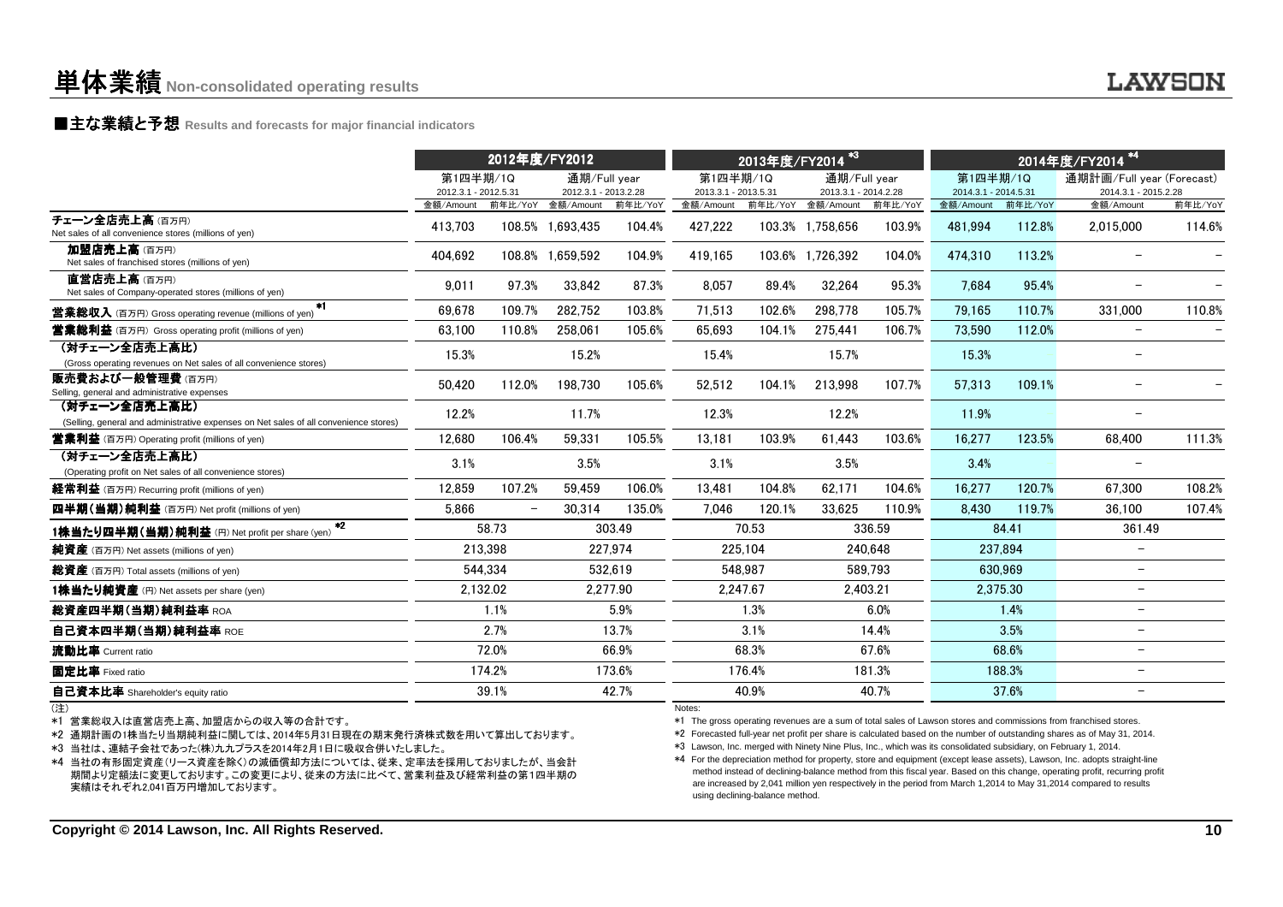### **■主な業績と予想** Results and forecasts for major financial indicators<br>
————————————————————

|                                                                                                        |                                   | 2012年度/FY2012 |                                           |          |                                   | $*3$<br>2013年度/FY2014 |                                           |         | 2014年度/FY2014 <sup>*4</sup>       |         |                                   |         |
|--------------------------------------------------------------------------------------------------------|-----------------------------------|---------------|-------------------------------------------|----------|-----------------------------------|-----------------------|-------------------------------------------|---------|-----------------------------------|---------|-----------------------------------|---------|
|                                                                                                        | 第1四半期/1Q                          |               | 通期/Full vear                              |          | 第1四半期/1Q                          |                       | 通期/Full year                              |         | 第1四半期/1Q                          |         | 通期計画/Full vear (Forecast)         |         |
|                                                                                                        | 2012.3.1 - 2012.5.31<br>金額/Amount |               | 2012.3.1 - 2013.2.28<br>前年比/YoY 金額/Amount | 前年比/YoY  | 2013.3.1 - 2013.5.31<br>金額/Amount |                       | 2013.3.1 - 2014.2.28<br>前年比/YoY 金額/Amount | 前年比/YoY | 2014.3.1 - 2014.5.31<br>金額/Amount | 前年比/YoY | 2014.3.1 - 2015.2.28<br>金額/Amount | 前年比/YoY |
| チェーン全店売上高(百万円)<br>Net sales of all convenience stores (millions of yen)                                | 413,703                           |               | 108.5% 1,693,435                          | 104.4%   | 427,222                           |                       | 103.3% 1,758,656                          | 103.9%  | 481,994                           | 112.8%  | 2,015,000                         | 114.6%  |
| 加盟店売上高(百万円)<br>Net sales of franchised stores (millions of yen)                                        | 404,692                           |               | 108.8% 1.659.592                          | 104.9%   | 419,165                           |                       | 103.6% 1,726,392                          | 104.0%  | 474,310                           | 113.2%  |                                   |         |
| 直営店売上高(百万円)<br>Net sales of Company-operated stores (millions of yen)                                  | 9,011                             | 97.3%         | 33,842                                    | 87.3%    | 8,057                             | 89.4%                 | 32,264                                    | 95.3%   | 7,684                             | 95.4%   |                                   |         |
| $*1$<br><b>営業総収入</b> (百万円) Gross operating revenue (millions of yen)                                   | 69.678                            | 109.7%        | 282.752                                   | 103.8%   | 71,513                            | 102.6%                | 298.778                                   | 105.7%  | 79.165                            | 110.7%  | 331.000                           | 110.8%  |
| <b>営業総利益</b> (百万円) Gross operating profit (millions of yen)                                            | 63.100                            | 110.8%        | 258,061                                   | 105.6%   | 65.693                            | 104.1%                | 275.441                                   | 106.7%  | 73.590                            | 112.0%  | $\qquad \qquad -$                 |         |
| (対チェーン全店売上高比)<br>(Gross operating revenues on Net sales of all convenience stores)                     | 15.3%                             |               | 15.2%                                     |          | 15.4%                             |                       | 15.7%                                     |         | 15.3%                             |         |                                   |         |
| 販売費および一般管理費(百万円)<br>Selling, general and administrative expenses                                       | 50,420                            | 112.0%        | 198,730                                   | 105.6%   | 52,512                            | 104.1%                | 213,998                                   | 107.7%  | 57,313                            | 109.1%  |                                   |         |
| (対チェーン全店売上高比)<br>(Selling, general and administrative expenses on Net sales of all convenience stores) | 12.2%                             |               | 11.7%                                     |          | 12.3%                             |                       | 12.2%                                     |         | 11.9%                             |         | $\overline{\phantom{m}}$          |         |
| <b>営業利益</b> (百万円) Operating profit (millions of yen)                                                   | 12.680                            | 106.4%        | 59.331                                    | 105.5%   | 13.181                            | 103.9%                | 61.443                                    | 103.6%  | 16.277                            | 123.5%  | 68.400                            | 111.3%  |
| (対チェーン全店売上高比)<br>(Operating profit on Net sales of all convenience stores)                             | 3.1%                              |               | 3.5%                                      |          | 3.1%                              |                       | 3.5%                                      |         | 3.4%                              |         |                                   |         |
| 経常利益 (百万円) Recurring profit (millions of yen)                                                          | 12.859                            | 107.2%        | 59.459                                    | 106.0%   | 13,481                            | 104.8%                | 62,171                                    | 104.6%  | 16.277                            | 120.7%  | 67.300                            | 108.2%  |
| 四半期(当期)純利益 (百万円) Net profit (millions of yen)                                                          | 5.866                             |               | 30.314                                    | 135.0%   | 7,046                             | 120.1%                | 33,625                                    | 110.9%  | 8.430                             | 119.7%  | 36,100                            | 107.4%  |
| $*2$<br>1株当たり四半期(当期)純利益 (円) Net profit per share (yen)                                                 |                                   | 58.73         |                                           | 303.49   |                                   | 70.53                 |                                           | 336.59  |                                   | 84.41   | 361.49                            |         |
| 純資産 (百万円) Net assets (millions of yen)                                                                 |                                   | 213,398       |                                           | 227,974  |                                   | 225,104               |                                           | 240,648 |                                   | 237,894 | $\overline{\phantom{m}}$          |         |
| 総資産 (百万円) Total assets (millions of yen)                                                               |                                   | 544,334       |                                           | 532.619  |                                   | 548.987               |                                           | 589.793 |                                   | 630,969 | $\overline{\phantom{m}}$          |         |
| 1株当たり純資産 (円) Net assets per share (yen)                                                                |                                   | 2,132.02      |                                           | 2.277.90 |                                   | 2.247.67              | 2.403.21                                  |         | 2.375.30                          |         | $\overline{\phantom{0}}$          |         |
| 総資産四半期(当期)純利益率 ROA                                                                                     |                                   | 1.1%          |                                           | 5.9%     |                                   | 1.3%                  |                                           | 6.0%    |                                   | 1.4%    | $\overline{\phantom{0}}$          |         |
| 自己資本四半期(当期)純利益率 ROE                                                                                    |                                   | 2.7%          |                                           | 13.7%    |                                   | 3.1%                  |                                           | 14.4%   |                                   | 3.5%    | $\overline{\phantom{m}}$          |         |
| 流動比率 Current ratio                                                                                     |                                   | 72.0%         |                                           | 66.9%    |                                   | 68.3%                 |                                           | 67.6%   |                                   | 68.6%   | $\overline{\phantom{m}}$          |         |
| 固定比率 Fixed ratio                                                                                       |                                   | 174.2%        |                                           | 173.6%   |                                   | 176.4%                |                                           | 181.3%  |                                   | 188.3%  | $\overline{\phantom{m}}$          |         |
| 自己資本比率 Shareholder's equity ratio                                                                      |                                   | 39.1%         |                                           | 42.7%    |                                   | 40.9%                 |                                           | 40.7%   |                                   | 37.6%   | $\overline{\phantom{m}}$          |         |
| (注)                                                                                                    |                                   |               |                                           |          | Notes:                            |                       |                                           |         |                                   |         |                                   |         |

(注)

\*1 営業総収入は直営店売上高、加盟店からの収入等の合計です。

\*2 通期計画の1株当たり当期純利益に関しては、2014年5月31日現在の期末発行済株式数を用いて算出しております。

\*3 当社は、連結子会社であった(株)九九プラスを2014年2月1日に吸収合併いたしました。

 \*4 当社の有形固定資産(リース資産を除く)の減価償却方法については、従来、定率法を採用しておりましたが、当会計 期間より定額法に変更しております。この変更により、従来の方法に比べて、営業利益及び経常利益の第1四半期の実績はそれぞれ2,041百万円増加しております。

Notes:

\*1 The gross operating revenues are a sum of total sales of Lawson stores and commissions from franchised stores.

\*2 Forecasted full-year net profit per share is calculated based on the number of outstanding shares as of May 31, 2014.

\*3 Lawson, Inc. merged with Ninety Nine Plus, Inc., which was its consolidated subsidiary, on February 1, 2014.

 \*4 For the depreciation method for property, store and equipment (except lease assets), Lawson, Inc. adopts straight-line method instead of declining-balance method from this fiscal year. Based on this change, operating profit, recurring profit are increased by 2,041 million yen respectively in the period from March 1,2014 to May 31,2014 compared to resultsusing declining-balance method.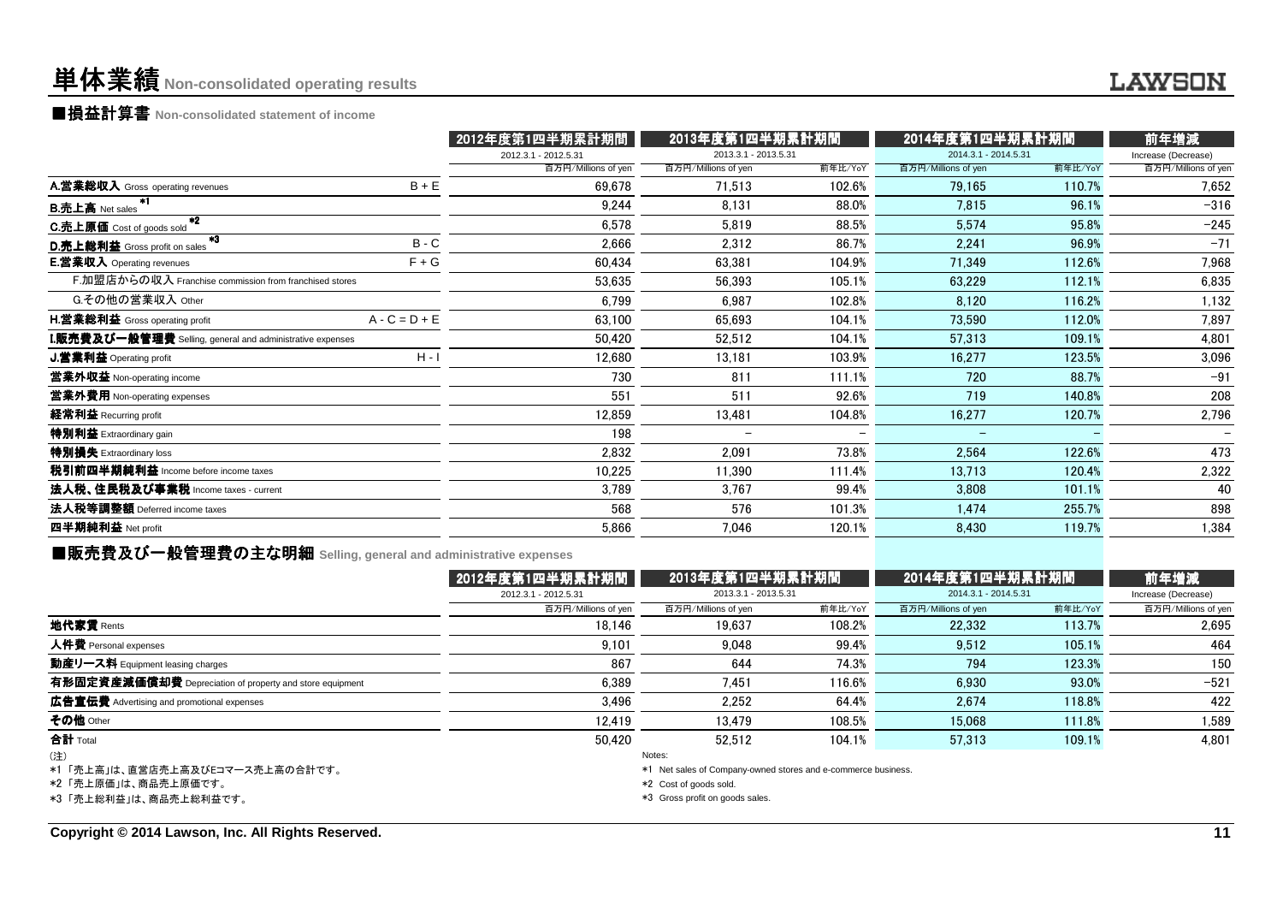### 単体業績**Non-consolidated operating results**

■損益計算書 **Non-consolidated statement of income**

|                                                                    | 2012年度第1四半期累計期間      |                      | 2013年度第1四半期累計期間 |                      | 2014年度第1四半期累計期間 |                     |  |
|--------------------------------------------------------------------|----------------------|----------------------|-----------------|----------------------|-----------------|---------------------|--|
|                                                                    | 2012.3.1 - 2012.5.31 | 2013.3.1 - 2013.5.31 |                 | 2014.3.1 - 2014.5.31 |                 | Increase (Decrease) |  |
|                                                                    | 百万円/Millions of yen  | 百万円/Millions of yen  | 前年比/YoY         | 百万円/Millions of yen  | 前年比/YoY         | 百万円/Millions of yen |  |
| $B + E$<br>A.営業総収入 Gross operating revenues                        | 69,678               | 71,513               | 102.6%          | 79,165               | 110.7%          | 7,652               |  |
| <b>B.売上高 Net sales</b>                                             | 9.244                | 8,131                | 88.0%           | 7,815                | 96.1%           | $-316$              |  |
| $*2$<br>C.売上原価 Cost of goods sold                                  | 6,578                | 5,819                | 88.5%           | 5,574                | 95.8%           | $-245$              |  |
| $*3$<br>$B - C$<br>D.売上総利益 Gross profit on sales                   | 2,666                | 2,312                | 86.7%           | 2,241                | 96.9%           | $-71$               |  |
| $F + G$<br><b>E.営業収入</b> Operating revenues                        | 60,434               | 63,381               | 104.9%          | 71.349               | 112.6%          | 7,968               |  |
| F.加盟店からの収入 Franchise commission from franchised stores             | 53,635               | 56,393               | 105.1%          | 63,229               | 112.1%          | 6,835               |  |
| G.その他の営業収入 Other                                                   | 6,799                | 6,987                | 102.8%          | 8,120                | 116.2%          | 1,132               |  |
| $A - C = D + E$<br>H.営業総利益 Gross operating profit                  | 63.100               | 65,693               | 104.1%          | 73.590               | 112.0%          | 7,897               |  |
| ${\bf I}.$ 販売費及び一般管理費 Selling, general and administrative expenses | 50,420               | 52,512               | 104.1%          | 57,313               | 109.1%          | 4,801               |  |
| $H - I$<br>J.営業利益 Operating profit                                 | 12,680               | 13,181               | 103.9%          | 16,277               | 123.5%          | 3,096               |  |
| 営業外収益 Non-operating income                                         | 730                  | 811                  | 111.1%          | 720                  | 88.7%           | $-91$               |  |
| 営業外費用 Non-operating expenses                                       | 551                  | 511                  | 92.6%           | 719                  | 140.8%          | 208                 |  |
| 経常利益 Recurring profit                                              | 12,859               | 13,481               | 104.8%          | 16,277               | 120.7%          | 2,796               |  |
| 特別利益 Extraordinary gain                                            | 198                  |                      |                 |                      |                 |                     |  |
| 特別損失 Extraordinary loss                                            | 2,832                | 2,091                | 73.8%           | 2,564                | 122.6%          | 473                 |  |
| 税引前四半期純利益 Income before income taxes                               | 10,225               | 11,390               | 111.4%          | 13,713               | 120.4%          | 2,322               |  |
| 法人税、住民税及び事業税 Income taxes - current                                | 3,789                | 3,767                | 99.4%           | 3,808                | 101.1%          | 40                  |  |
| 法人税等調整額 Deferred income taxes                                      | 568                  | 576                  | 101.3%          | 1.474                | 255.7%          | 898                 |  |
| 四半期純利益 Net profit                                                  | 5,866                | 7,046                | 120.1%          | 8,430                | 119.7%          | 1,384               |  |
|                                                                    |                      |                      |                 |                      |                 |                     |  |

■販売費及び一般管理費の主な明細 **Selling, general and administrative expenses**

|                                                          | 2012年度第1四半期累計期間      | 2013年度第1四半期累計期間                                               |         | 2014年度第1四半期累計期間      | 前年増減    |                     |
|----------------------------------------------------------|----------------------|---------------------------------------------------------------|---------|----------------------|---------|---------------------|
|                                                          | 2012.3.1 - 2012.5.31 | 2013.3.1 - 2013.5.31                                          |         | 2014.3.1 - 2014.5.31 |         | Increase (Decrease) |
|                                                          | 百万円/Millions of yen  | 百万円/Millions of yen                                           | 前年比/YoY | 百万円/Millions of yen  | 前年比/YoY | 百万円/Millions of yen |
| 地代家賃 Rents                                               | 18.146               | 19.637                                                        | 108.2%  | 22.332               | 113.7%  | 2.695               |
| 人件費 Personal expenses                                    | 9.101                | 9.048                                                         | 99.4%   | 9.512                | 105.1%  | 464                 |
| 動産リース料 Equipment leasing charges                         | 867                  | 644                                                           | 74.3%   | 794                  | 123.3%  | 150                 |
| 有形固定資産減価償却費 Depreciation of property and store equipment | 6.389                | 7.451                                                         | 116.6%  | 6.930                | 93.0%   | $-521$              |
| 広告宣伝費 Advertising and promotional expenses               | 3.496                | 2.252                                                         | 64.4%   | 2.674                | 118.8%  | 422                 |
| その他 Other                                                | 12.419               | 13.479                                                        | 108.5%  | 15.068               | 111.8%  | 1.589               |
| <b>合計</b> Total                                          | 50.420               | 52.512                                                        | 104.1%  | 57.313               | 109.1%  | 4.801               |
| (注)                                                      |                      | Notes:                                                        |         |                      |         |                     |
| *1「売上高」は、直営店売上高及びEコマース売上高の合計です。                          |                      | *1 Net sales of Company-owned stores and e-commerce business. |         |                      |         |                     |
| *2「売上原価」は、商品売上原価です。                                      |                      | *2 Cost of goods sold.                                        |         |                      |         |                     |
| *3「売上総利益」は、商品売上総利益です。                                    |                      | *3 Gross profit on goods sales.                               |         |                      |         |                     |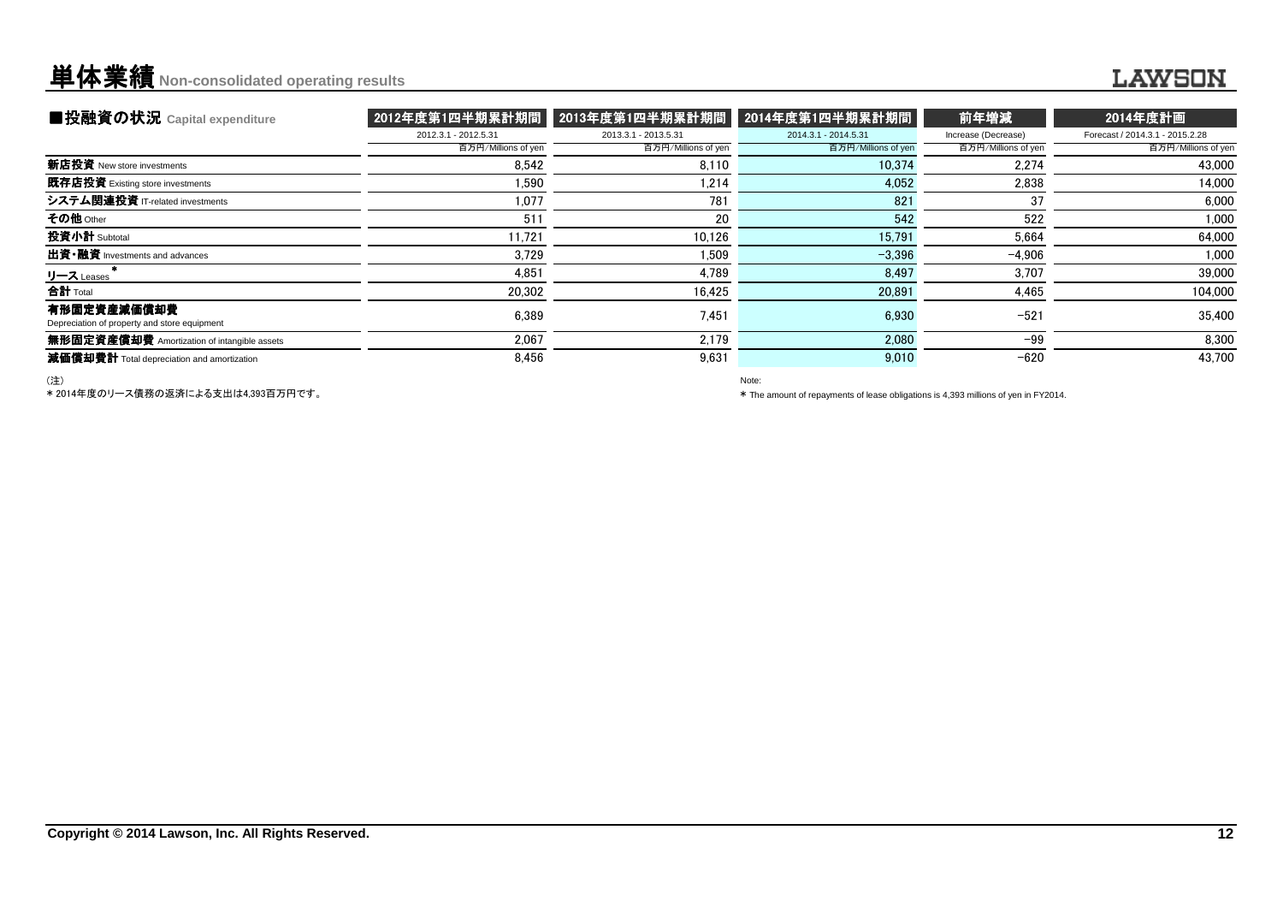### **単体業績** Non-consolidated operating results

### **LAWSON**

| ■投融資の状況 Capital expenditure                                 | 2012年度第1四半期累計期間      | 2013年度第1四半期累計期間      | 2014年度第1四半期累計期間      | 前年増減                | 2014年度計画                        |
|-------------------------------------------------------------|----------------------|----------------------|----------------------|---------------------|---------------------------------|
|                                                             | 2012.3.1 - 2012.5.31 | 2013.3.1 - 2013.5.31 | 2014.3.1 - 2014.5.31 | Increase (Decrease) | Forecast / 2014.3.1 - 2015.2.28 |
|                                                             | 百万円/Millions of yen  | 百万円/Millions of yen  | 百万円/Millions of yen  | 百万円/Millions of yen | 百万円/Millions of yen             |
| 新店投資 New store investments                                  | 8,542                | 8.110                | 10.374               | 2.274               | 43,000                          |
| 既存店投資 Existing store investments                            | 1.590                | 1.214                | 4,052                | 2.838               | 14.000                          |
| システム関連投資 IT-related investments                             | 1.077                | 781                  | 821                  | 37                  | 6.000                           |
| その他 Other                                                   | 511                  | 20                   | 542                  | 522                 | 1,000                           |
| 投資小計 Subtotal                                               | 11.721               | 10.126               | 15,791               | 5.664               | 64,000                          |
| 出資·融資 Investments and advances                              | 3.729                | 1.509                | $-3.396$             | $-4.906$            | 1.000                           |
| リース Leases                                                  | 4.851                | 4.789                | 8.497                | 3.707               | 39,000                          |
| 合計 Total                                                    | 20.302               | 16.425               | 20,891               | 4,465               | 104,000                         |
| 有形固定資産減価償却費<br>Depreciation of property and store equipment | 6,389                | 7,451                | 6,930                | $-521$              | 35,400                          |
| 無形固定資産償却費 Amortization of intangible assets                 | 2.067                | 2.179                | 2.080                | $-99$               | 8,300                           |
| 减価償却費計 Total depreciation and amortization                  | 8.456                | 9.631                | 9,010                | $-620$              | 43.700                          |

(注)

\* 2014年度のリース債務の返済による支出は4,393百万円です。

Note:

\* The amount of repayments of lease obligations is 4,393 millions of yen in FY2014.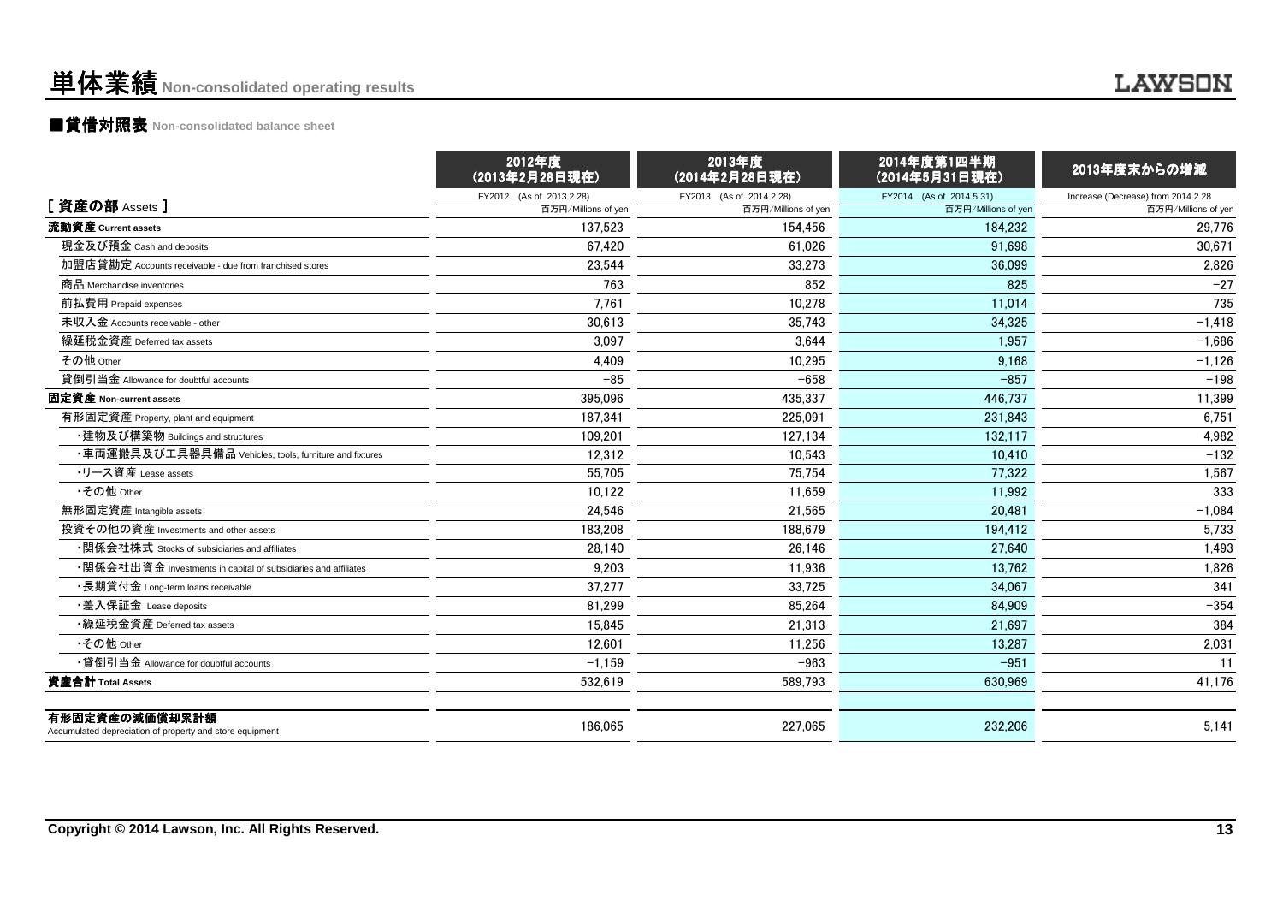### ■貸借対照表 **Non-consolidated balance sheet**

|                                                                            | 2012年度<br>(2013年2月28日現在) | 2013年度<br>(2014年2月28日現在) | 2014年度第1四半期<br>(2014年5月31日現在) | 2013年度末からの増減                       |
|----------------------------------------------------------------------------|--------------------------|--------------------------|-------------------------------|------------------------------------|
|                                                                            | FY2012 (As of 2013.2.28) | FY2013 (As of 2014.2.28) | FY2014 (As of 2014.5.31)      | Increase (Decrease) from 2014.2.28 |
| [資産の部 Assets]                                                              | 百万円/Millions of yen      | 百万円/Millions of yen      | 百万円/Millions of yen           | 百万円/Millions of yen                |
| 流動資産 Current assets                                                        | 137.523                  | 154.456                  | 184.232                       | 29,776                             |
| 現金及び預金 Cash and deposits                                                   | 67,420                   | 61.026                   | 91.698                        | 30,671                             |
| 加盟店貸勘定 Accounts receivable - due from franchised stores                    | 23,544                   | 33,273                   | 36.099                        | 2.826                              |
| 商品 Merchandise inventories                                                 | 763                      | 852                      | 825                           | $-27$                              |
| 前払費用 Prepaid expenses                                                      | 7.761                    | 10.278                   | 11,014                        | 735                                |
| 未収入金 Accounts receivable - other                                           | 30,613                   | 35,743                   | 34,325                        | $-1,418$                           |
| 繰延税金資産 Deferred tax assets                                                 | 3,097                    | 3,644                    | 1,957                         | $-1,686$                           |
| その他 Other                                                                  | 4,409                    | 10,295                   | 9,168                         | $-1,126$                           |
| 貸倒引当金 Allowance for doubtful accounts                                      | $-85$                    | $-658$                   | $-857$                        | $-198$                             |
| 固定資産 Non-current assets                                                    | 395.096                  | 435,337                  | 446,737                       | 11,399                             |
| 有形固定資産 Property, plant and equipment                                       | 187.341                  | 225,091                  | 231.843                       | 6,751                              |
| ・建物及び構築物 Buildings and structures                                          | 109.201                  | 127.134                  | 132.117                       | 4,982                              |
| ・車両運搬具及び工具器具備品 Vehicles, tools, furniture and fixtures                     | 12,312                   | 10,543                   | 10,410                        | $-132$                             |
| ・リース資産 Lease assets                                                        | 55,705                   | 75,754                   | 77,322                        | 1,567                              |
| •その他 Other                                                                 | 10,122                   | 11,659                   | 11,992                        | 333                                |
| 無形固定資産 Intangible assets                                                   | 24,546                   | 21,565                   | 20,481                        | $-1,084$                           |
| 投資その他の資産 Investments and other assets                                      | 183,208                  | 188,679                  | 194,412                       | 5,733                              |
| ・関係会社株式 Stocks of subsidiaries and affiliates                              | 28.140                   | 26.146                   | 27.640                        | 1,493                              |
| •関係会社出資金 Investments in capital of subsidiaries and affiliates             | 9,203                    | 11.936                   | 13.762                        | 1,826                              |
| ・長期貸付金 Long-term loans receivable                                          | 37.277                   | 33.725                   | 34.067                        | 341                                |
| ・差入保証金 Lease deposits                                                      | 81.299                   | 85.264                   | 84.909                        | $-354$                             |
| •繰延税金資産 Deferred tax assets                                                | 15.845                   | 21.313                   | 21,697                        | 384                                |
| •その他 Other                                                                 | 12,601                   | 11.256                   | 13,287                        | 2,031                              |
| • 貸倒引当金 Allowance for doubtful accounts                                    | $-1,159$                 | $-963$                   | $-951$                        | 11                                 |
| 資産合計 Total Assets                                                          | 532,619                  | 589,793                  | 630,969                       | 41,176                             |
| 有形固定資産の減価償却累計額<br>Accumulated depreciation of property and store equipment | 186.065                  | 227.065                  | 232,206                       | 5.141                              |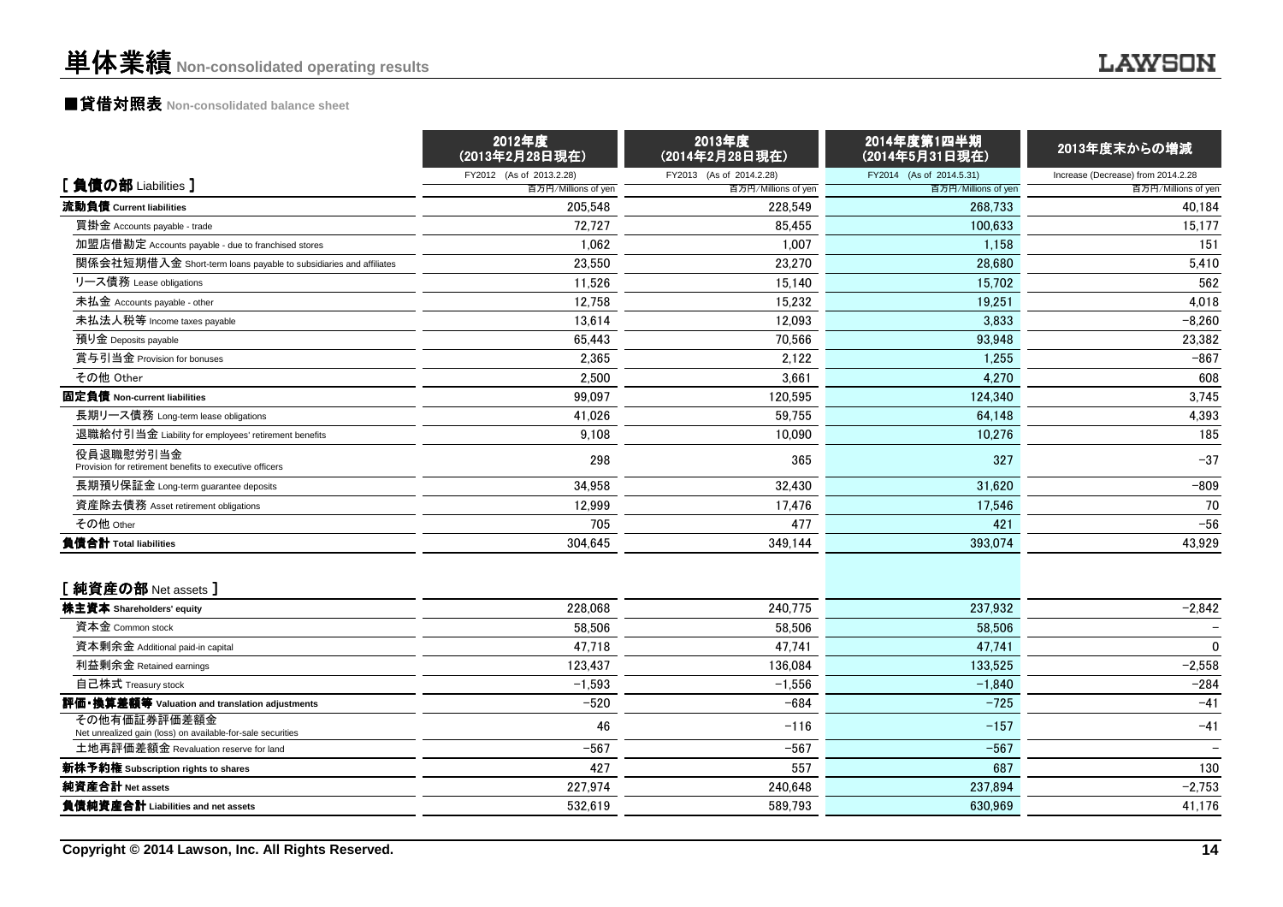### ■貸借対照表 **Non-consolidated balance sheet**

|                                                                             | 2012年度<br>(2013年2月28日現在)       | 2013年度<br>(2014年2月28日現在)       | 2014年度第1四半期<br>(2014年5月31日現在)  | 2013年度末からの増減                       |
|-----------------------------------------------------------------------------|--------------------------------|--------------------------------|--------------------------------|------------------------------------|
| [負債の部 Liabilities]                                                          | FY2012 (As of 2013.2.28)       | FY2013 (As of 2014.2.28)       | FY2014 (As of 2014.5.31)       | Increase (Decrease) from 2014.2.28 |
| 流動負債 Current liabilities                                                    | 百万円/Millions of yen<br>205.548 | 百万円/Millions of yen<br>228.549 | 百万円/Millions of yen<br>268.733 | 百万円/Millions of yen<br>40,184      |
| 買掛金 Accounts payable - trade                                                | 72,727                         | 85,455                         | 100,633                        | 15,177                             |
| 加盟店借勘定 Accounts payable - due to franchised stores                          | 1,062                          | 1,007                          | 1.158                          | 151                                |
| 関係会社短期借入金 Short-term loans payable to subsidiaries and affiliates           | 23,550                         | 23,270                         | 28,680                         | 5,410                              |
| リース債務 Lease obligations                                                     | 11,526                         | 15,140                         | 15,702                         | 562                                |
| 未払金 Accounts payable - other                                                | 12,758                         | 15.232                         | 19,251                         | 4,018                              |
| 未払法人税等 Income taxes payable                                                 | 13,614                         | 12,093                         | 3,833                          | $-8,260$                           |
| 預り金 Deposits payable                                                        | 65.443                         | 70,566                         | 93.948                         | 23,382                             |
| 賞与引当金 Provision for bonuses                                                 | 2,365                          | 2,122                          | 1,255                          | $-867$                             |
| その他 Other                                                                   | 2,500                          | 3,661                          | 4,270                          | 608                                |
| 固定負債 Non-current liabilities                                                | 99,097                         | 120,595                        | 124.340                        | 3,745                              |
| 長期リース債務 Long-term lease obligations                                         | 41,026                         | 59,755                         | 64.148                         | 4,393                              |
| 退職給付引当金 Liability for employees' retirement benefits                        | 9,108                          | 10.090                         | 10.276                         | 185                                |
| 役員退職慰労引当金<br>Provision for retirement benefits to executive officers        | 298                            | 365                            | 327                            | $-37$                              |
| 長期預り保証金 Long-term guarantee deposits                                        | 34.958                         | 32.430                         | 31.620                         | $-809$                             |
| 資産除去債務 Asset retirement obligations                                         | 12,999                         | 17,476                         | 17,546                         | 70                                 |
| その他 Other                                                                   | 705                            | 477                            | 421                            | $-56$                              |
| 負債合計 Total liabilities                                                      | 304,645                        | 349,144                        | 393,074                        | 43,929                             |
| [純資産の部 Net assets ]                                                         |                                |                                |                                |                                    |
| 株主資本 Shareholders' equity                                                   | 228,068                        | 240,775                        | 237,932                        | $-2,842$                           |
| 資本金 Common stock                                                            | 58,506                         | 58.506                         | 58,506                         |                                    |
| 資本剰余金 Additional paid-in capital                                            | 47,718                         | 47,741                         | 47,741                         | $\mathbf{0}$                       |
| 利益剰余金 Retained earnings                                                     | 123,437                        | 136.084                        | 133.525                        | $-2,558$                           |
| 自己株式 Treasury stock                                                         | $-1,593$                       | $-1,556$                       | $-1,840$                       | $-284$                             |
| 評価・換算差額等 Valuation and translation adjustments                              | $-520$                         | $-684$                         | $-725$                         | $-41$                              |
| その他有価証券評価差額金<br>Net unrealized gain (loss) on available-for-sale securities | 46                             | $-116$                         | $-157$                         | $-41$                              |
| 土地再評価差額金 Revaluation reserve for land                                       | $-567$                         | $-567$                         | $-567$                         |                                    |
| 新株予約権 Subscription rights to shares                                         | 427                            | 557                            | 687                            | 130                                |
| 純資産合計 Net assets                                                            | 227,974                        | 240,648                        | 237,894                        | $-2,753$                           |
| 負債純資産合計 Liabilities and net assets                                          | 532,619                        | 589,793                        | 630,969                        | 41,176                             |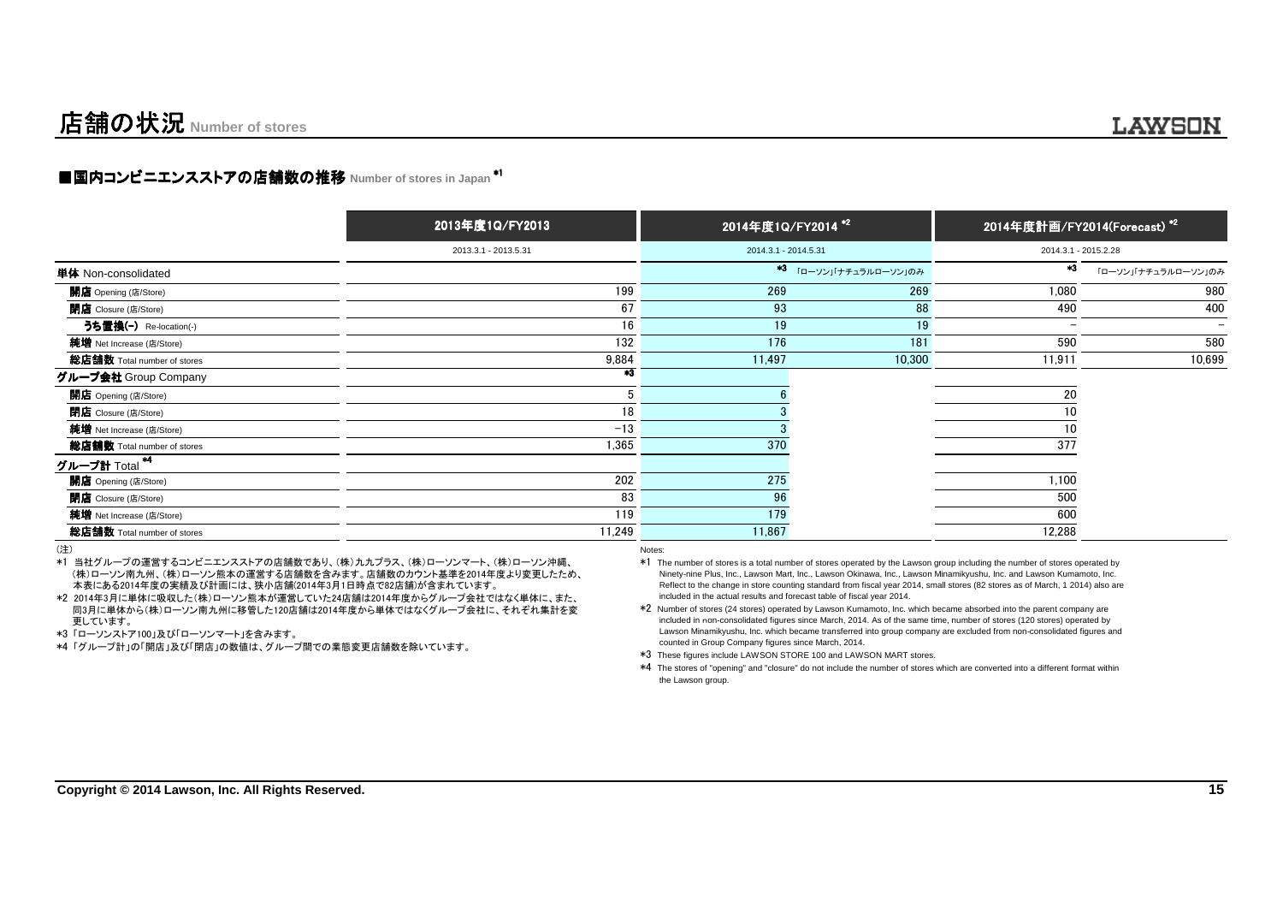### ■国内コンビニエンスストアの店舗数の推移 Number of stores in Japan <sup>\*1</sup>

|                             | 2013年度1Q/FY2013      | 2014年度1Q/FY2014 <sup>*2</sup> |                               | 2014年度計画/FY2014(Forecast) <sup>*2</sup> |                     |  |
|-----------------------------|----------------------|-------------------------------|-------------------------------|-----------------------------------------|---------------------|--|
|                             | 2013.3.1 - 2013.5.31 | 2014.3.1 - 2014.5.31          |                               | 2014.3.1 - 2015.2.28                    |                     |  |
| 単体 Non-consolidated         |                      |                               | <b>*3</b> 「ローソン」「ナチュラルローソン」のみ | *3                                      | 「ローソン」「ナチュラルローソン」のみ |  |
| 開店 Opening (店/Store)        | 199                  | 269                           | 269                           | 1,080                                   | 980                 |  |
| <b>閉店</b> Closure (店/Store) | 67                   | 93                            | 88                            | 490                                     | 400                 |  |
| うち置換(-) Re-location(-)      | 16                   | 19                            | 19                            | ۰                                       |                     |  |
| 純増 Net Increase (店/Store)   | 132                  | 176                           | 181                           | 590                                     | 580                 |  |
| 総店舗数 Total number of stores | 9,884                | 11,497                        | 10,300                        | 11,911                                  | 10,699              |  |
| グループ会社 Group Company        | $*3$                 |                               |                               |                                         |                     |  |
| <b>開店</b> Opening (店/Store) | 5                    |                               |                               | 20                                      |                     |  |
| <b>閉店</b> Closure (店/Store) | 18                   |                               |                               | 10                                      |                     |  |
| 純増 Net Increase (店/Store)   | $-13$                |                               |                               | 10                                      |                     |  |
| 総店舗数 Total number of stores | 1,365                | 370                           |                               | 377                                     |                     |  |
| グループ計 Total <sup>*4</sup>   |                      |                               |                               |                                         |                     |  |
| 開店 Opening (店/Store)        | 202                  | 275                           |                               | 1,100                                   |                     |  |
| <b>閉店</b> Closure (店/Store) | 83                   | 96                            |                               | 500                                     |                     |  |
| 純増 Net Increase (店/Store)   | 119                  | 179                           |                               | 600                                     |                     |  |
| 総店舗数 Total number of stores | 11,249               | 11,867                        |                               | 12,288                                  |                     |  |
|                             |                      |                               |                               |                                         |                     |  |

(注)

 \*1 当社グループの運営するコンビニエンスストアの店舗数であり、(株)九九プラス、(株)ローソンマート、(株)ローソン沖縄、 (株)ローソン南九州、(株)ローソン熊本の運営する店舗数を含みます。店舗数のカウント基準を2014年度より変更したため、本表にある2014年度の実績及び計画には、狭小店舗(2014年3月1日時点で82店舗)が含まれています。

 \*2 2014年3月に単体に吸収した(株)ローソン熊本が運営していた24店舗は2014年度からグループ会社ではなく単体に、また、 同3月に単体から(株)ローソン南九州に移管した120店舗は2014年度から単体ではなくグループ会社に、それぞれ集計を変更しています。

\*3 「ローソンストア100」及び「ローソンマート」を含みます。

\*4 「グループ計」の「開店」及び「閉店」の数値は、グループ間での業態変更店舗数を除いています。

Notes:

 \*1 The number of stores is a total number of stores operated by the Lawson group including the number of stores operated by Ninety-nine Plus, Inc., Lawson Mart, Inc., Lawson Okinawa, Inc., Lawson Minamikyushu, Inc. and Lawson Kumamoto, Inc. Reflect to the change in store counting standard from fiscal year 2014, small stores (82 stores as of March, 1 2014) also areincluded in the actual results and forecast table of fiscal year 2014.

 \*2 Number of stores (24 stores) operated by Lawson Kumamoto, Inc. which became absorbed into the parent company are included in non-consolidated figures since March, 2014. As of the same time, number of stores (120 stores) operated by Lawson Minamikyushu, Inc. which became transferred into group company are excluded from non-consolidated figures andcounted in Group Company figures since March, 2014.

\*3 These figures include LAWSON STORE 100 and LAWSON MART stores.

\*4 The stores of "opening" and "closure" do not include the number of stores which are converted into a different format within the Lawson group.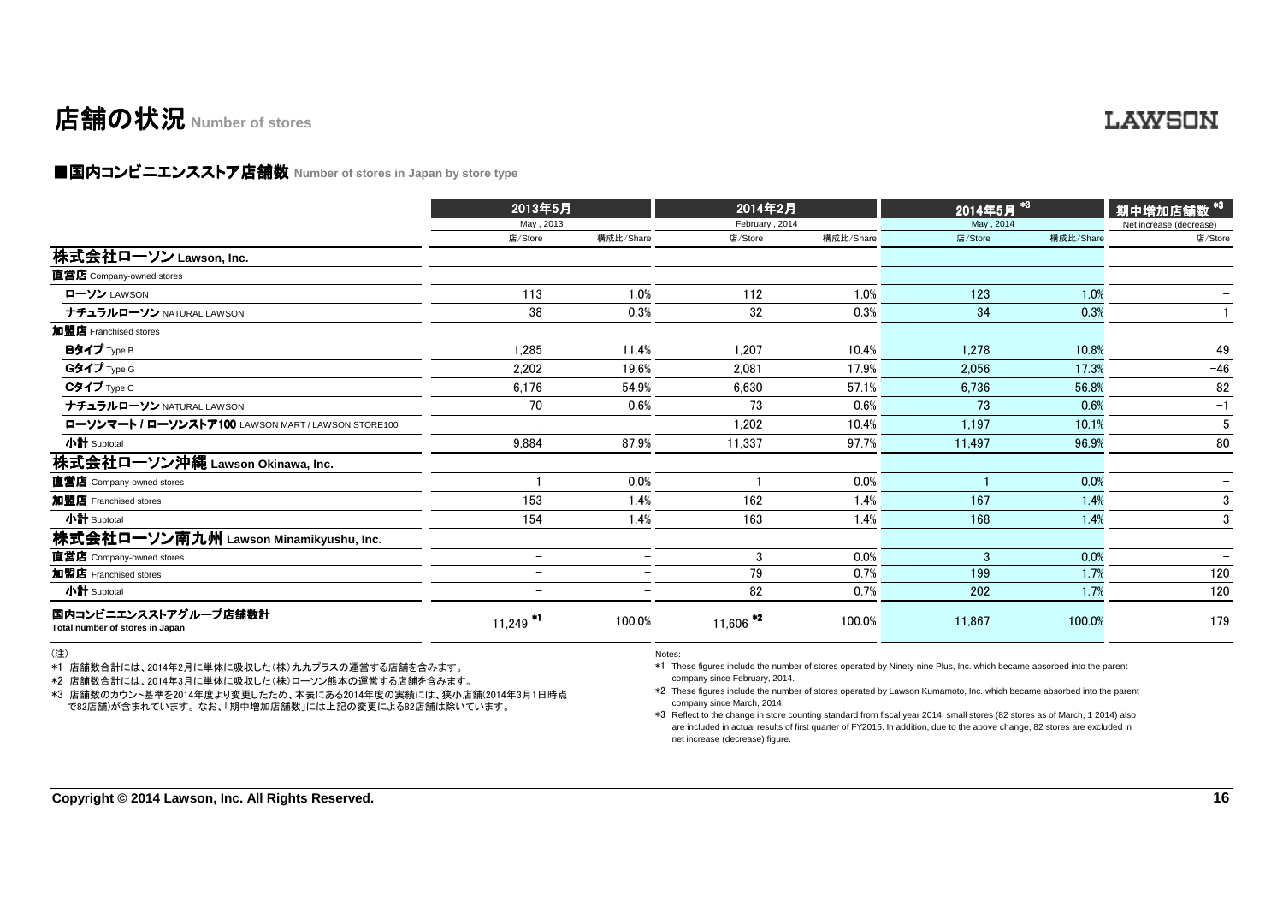### 店舗の状況**Number of stores**

### ■国内コンビニエンスストア店舗数 Number of stores in Japan by store type<br>→

|                                                         | 2013年5月                  |                          | 2014年2月                |           | 2014年5月 <sup>*3</sup> |           | 期中増加店舗数 <sup>*3  </sup>  |
|---------------------------------------------------------|--------------------------|--------------------------|------------------------|-----------|-----------------------|-----------|--------------------------|
|                                                         | May, 2013                |                          | February, 2014         |           | May, 2014             |           | Net increase (decrease)  |
|                                                         | 店/Store                  | 構成比/Share                | 店/Store                | 構成比/Share | 店/Store               | 構成比/Share | 店/Store                  |
| 株式会社ローソン Lawson, Inc.                                   |                          |                          |                        |           |                       |           |                          |
| 直営店 Company-owned stores                                |                          |                          |                        |           |                       |           |                          |
| ローソン LAWSON                                             | 113                      | 1.0%                     | 112                    | 1.0%      | 123                   | 1.0%      |                          |
| ナチュラルローソン NATURAL LAWSON                                | 38                       | 0.3%                     | 32                     | 0.3%      | 34                    | 0.3%      |                          |
| 加盟店 Franchised stores                                   |                          |                          |                        |           |                       |           |                          |
| Bタイプ Type B                                             | 1.285                    | 11.4%                    | 1,207                  | 10.4%     | 1.278                 | 10.8%     | 49                       |
| Gタイプ Type G                                             | 2,202                    | 19.6%                    | 2.081                  | 17.9%     | 2,056                 | 17.3%     | $-46$                    |
| Cタイプ Type C                                             | 6.176                    | 54.9%                    | 6.630                  | 57.1%     | 6.736                 | 56.8%     | 82                       |
| ナチュラルローソン NATURAL LAWSON                                | 70                       | 0.6%                     | 73                     | 0.6%      | 73                    | 0.6%      | $-1$                     |
| ローソンマート / ローソンストア100 LAWSON MART / LAWSON STORE100      | -                        |                          | 1,202                  | 10.4%     | 1.197                 | 10.1%     | $-5$                     |
| 小計 Subtotal                                             | 9,884                    | 87.9%                    | 11,337                 | 97.7%     | 11,497                | 96.9%     | 80                       |
| 株式会社ローソン沖縄 Lawson Okinawa, Inc.                         |                          |                          |                        |           |                       |           |                          |
| 直営店 Company-owned stores                                |                          | 0.0%                     |                        | 0.0%      |                       | 0.0%      | $\overline{\phantom{0}}$ |
| 加盟店 Franchised stores                                   | 153                      | 1.4%                     | 162                    | 1.4%      | 167                   | 1.4%      | 3                        |
| 小計 Subtotal                                             | 154                      | 1.4%                     | 163                    | 1.4%      | 168                   | 1.4%      | 3                        |
| 株式会社ローソン南九州 Lawson Minamikyushu, Inc.                   |                          |                          |                        |           |                       |           |                          |
| 直営店 Company-owned stores                                | $\qquad \qquad -$        | $\overline{\phantom{0}}$ | 3                      | 0.0%      | 3                     | 0.0%      |                          |
| 加盟店 Franchised stores                                   | $\overline{\phantom{0}}$ | $\equiv$                 | 79                     | 0.7%      | 199                   | 1.7%      | 120                      |
| 小計 Subtotal                                             | $\overline{\phantom{0}}$ |                          | 82                     | 0.7%      | 202                   | 1.7%      | 120                      |
| 国内コンビニエンスストアグループ店舗数計<br>Total number of stores in Japan | $11,249$ <sup>*1</sup>   | 100.0%                   | $11,606$ <sup>*2</sup> | 100.0%    | 11,867                | 100.0%    | 179                      |

(注)

\*1 店舗数合計には、2014年2月に単体に吸収した(株)九九プラスの運営する店舗を含みます。

\*2 店舗数合計には、2014年3月に単体に吸収した(株)ローソン熊本の運営する店舗を含みます。

 \*3 店舗数のカウント基準を2014年度より変更したため、本表にある2014年度の実績には、狭小店舗(2014年3月1日時点で82店舗)が含まれています。 なお、「期中増加店舗数」には上記の変更による82店舗は除いています。

Notes:

 \*1 These figures include the number of stores operated by Ninety-nine Plus, Inc. which became absorbed into the parentcompany since February, 2014.

- \*2 These figures include the number of stores operated by Lawson Kumamoto, Inc. which became absorbed into the parent company since March, 2014.
- \*3 Reflect to the change in store counting standard from fiscal year 2014, small stores (82 stores as of March, 1 2014) also are included in actual results of first quarter of FY2015. In addition, due to the above change, 82 stores are excluded innet increase (decrease) figure.

**LAWSON**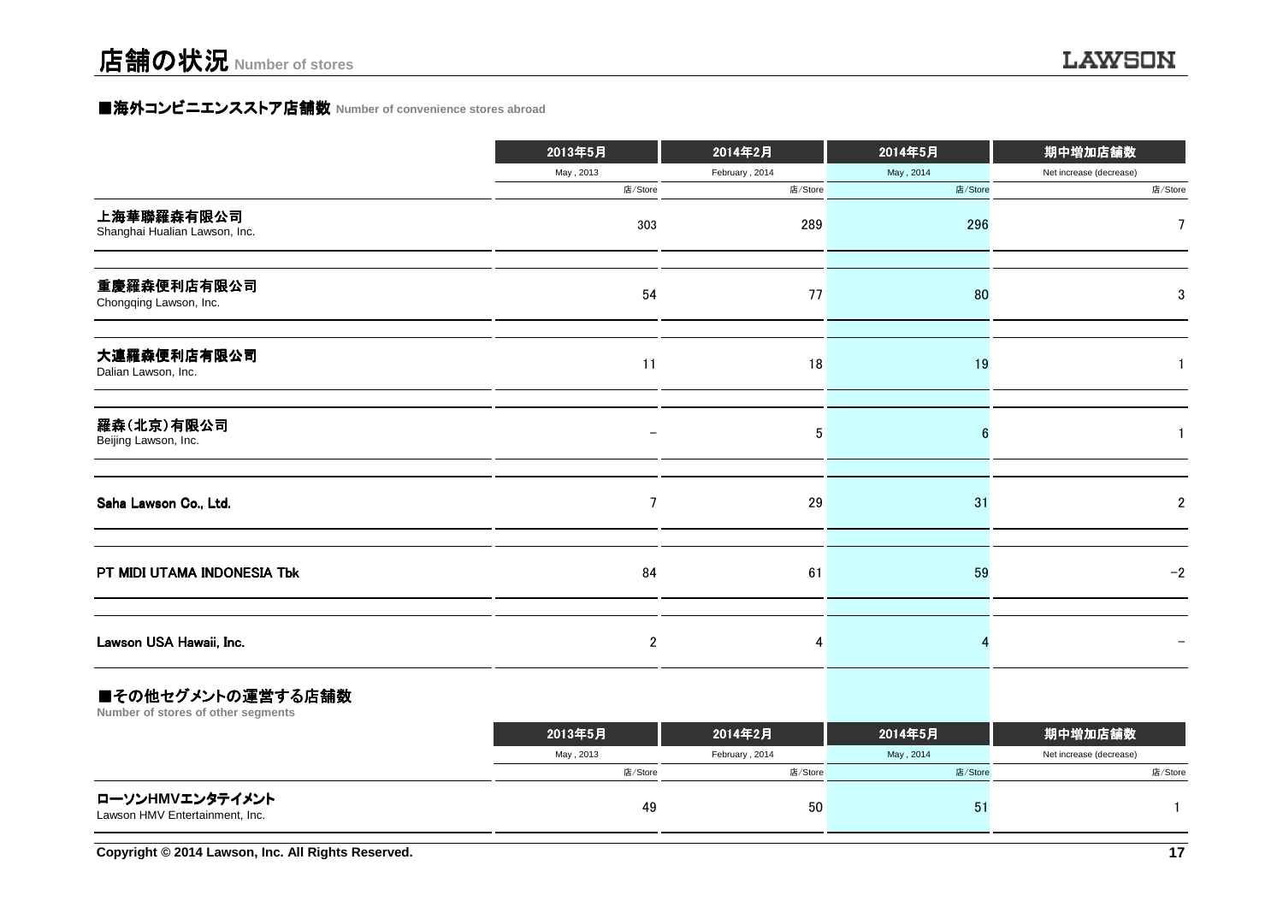### **■海外コンビニエンスストア店舗数 Number of convenience stores abroad**

|                                             | 2013年5月                  | 2014年2月        | 2014年5月   | 期中増加店舗数                 |
|---------------------------------------------|--------------------------|----------------|-----------|-------------------------|
|                                             | May, 2013                | February, 2014 | May, 2014 | Net increase (decrease) |
|                                             | 店/Store                  | 店/Store        | 店/Store   | 店/Store                 |
| 上海華聯羅森有限公司<br>Shanghai Hualian Lawson, Inc. | 303                      | 289            | 296       | 7                       |
| 重慶羅森便利店有限公司<br>Chongqing Lawson, Inc.       | 54                       | 77             | 80        | 3                       |
| 大連羅森便利店有限公司<br>Dalian Lawson, Inc.          | 11                       | 18             | 19        |                         |
| 羅森(北京)有限公司<br>Beijing Lawson, Inc.          | $\overline{\phantom{m}}$ | 5              | 6         |                         |
| Saha Lawson Co., Ltd.                       | $7\phantom{.0}$          | 29             | 31        | $\overline{2}$          |
| PT MIDI UTAMA INDONESIA Tbk                 | 84                       | 61             | 59        | $-2$                    |
| Lawson USA Hawaii, Inc.                     | $\boldsymbol{2}$         | 4              |           |                         |
| ■スの丛ムゲい、しの演誉ナス亡録粉                           |                          |                |           |                         |

#### ■その他セクメントの運営する店舗数

**Number of stores of other segments**

|                                                   | 2013年5月   | 2014年2月        | 2014年5月   | 期中増加店舗数                 |
|---------------------------------------------------|-----------|----------------|-----------|-------------------------|
|                                                   | May, 2013 | February, 2014 | May, 2014 | Net increase (decrease) |
|                                                   | 店/Store   | 店/Store        | 店/Store   | 店/Store                 |
| ローソンHMVエンタテイメント<br>Lawson HMV Entertainment, Inc. | 49        | 50             |           |                         |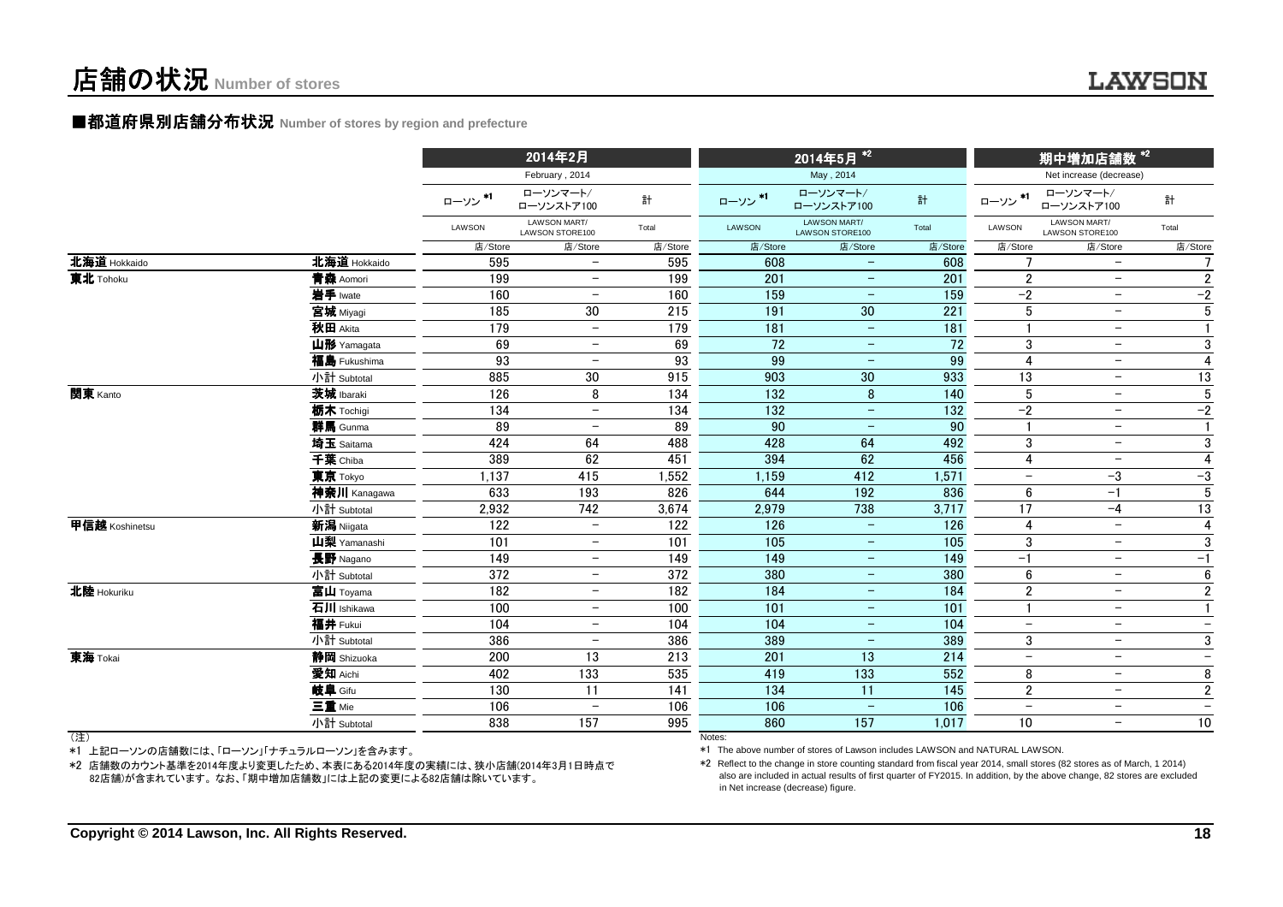# 店舗の状況**Number of stores**

#### ■都道府県別店舗分布状況 Number of stores by region and prefecture

|                |              |         | 2014年2月                         |         |                 | 2014年5月 <sup>*2</sup>           |                 |                          | 期中増加店舗数 *2                      |                 |
|----------------|--------------|---------|---------------------------------|---------|-----------------|---------------------------------|-----------------|--------------------------|---------------------------------|-----------------|
|                |              |         | February, 2014                  |         |                 | May, 2014                       |                 |                          | Net increase (decrease)         |                 |
|                |              | ローソン*1  | ローソンマート/<br>ローソンストア100          | 計       | ローソン*1          | ローソンマート/<br>ローソンストア100          | 計               | ローソン*1                   | ローソンマート/<br>ローソンストア100          | 計               |
|                |              | LAWSON  | LAWSON MART/<br>LAWSON STORE100 | Total   | <b>LAWSON</b>   | LAWSON MART/<br>LAWSON STORE100 | Total           | LAWSON                   | LAWSON MART/<br>LAWSON STORE100 | Total           |
|                |              | 店/Store | 店/Store                         | 店/Store | 店/Store         | 店/Store                         | 店/Store         | 店/Store                  | 店/Store                         | 店/Store         |
| 北海道 Hokkaido   | 北海道 Hokkaido | 595     | $\overline{\phantom{0}}$        | 595     | 608             |                                 | 608             |                          | $\overline{\phantom{a}}$        |                 |
| 東北 Tohoku      | 青森 Aomori    | 199     | $\overline{\phantom{m}}$        | 199     | 201             | $\qquad \qquad -$               | 201             | $\overline{2}$           | $\overline{\phantom{m}}$        | $\overline{2}$  |
|                | 岩手 Iwate     | 160     | $\overline{\phantom{m}}$        | 160     | 159             | $\overline{\phantom{m}}$        | 159             | $-2$                     | $-$                             | $-2$            |
|                | 宮城 Miyagi    | 185     | 30                              | 215     | 191             | 30                              | 221             | 5                        | $\overline{\phantom{m}}$        | $5\phantom{.0}$ |
|                | 秋田 Akita     | 179     | $\overline{\phantom{m}}$        | 179     | 181             | $\overline{\phantom{m}}$        | 181             |                          | $\overline{\phantom{m}}$        | $\mathbf{1}$    |
|                | 山形 Yamagata  | 69      | $\qquad \qquad -$               | 69      | 72              | $\overline{\phantom{m}}$        | $\overline{72}$ | 3                        | $-$                             | $\overline{3}$  |
|                | 福島 Fukushima | 93      | $\overline{\phantom{0}}$        | 93      | 99              | $\overline{\phantom{m}}$        | 99              | 4                        | $\overline{\phantom{m}}$        | $\overline{4}$  |
|                | 小計 Subtotal  | 885     | 30                              | 915     | 903             | $30\,$                          | 933             | 13                       | $\overline{\phantom{m}}$        | 13              |
| 関東 Kanto       | 茨城 Ibaraki   | 126     | 8                               | 134     | $\frac{1}{132}$ | 8                               | 140             | $5\phantom{.0}$          | $\overline{\phantom{m}}$        | $\overline{5}$  |
|                | 栃木 Tochiqi   | 134     | $\equiv$                        | 134     | 132             | $\equiv$                        | 132             | $-2$                     | $\overline{\phantom{0}}$        | $-2$            |
|                | 群馬 Gunma     | 89      | $\overline{\phantom{0}}$        | 89      | 90              | $\overline{\phantom{m}}$        | 90              |                          | $\overline{\phantom{m}}$        | $\mathbf{1}$    |
|                | 埼玉 Saitama   | 424     | 64                              | 488     | 428             | 64                              | 492             | 3                        | $\overline{\phantom{0}}$        | 3               |
|                | 千葉 Chiba     | 389     | 62                              | 451     | 394             | 62                              | 456             | 4                        | $\overline{\phantom{0}}$        | $\overline{4}$  |
|                | 東京 Tokyo     | 1,137   | 415                             | 1,552   | 1,159           | 412                             | 1,571           | $\overline{\phantom{0}}$ | $-3$                            | $-3$            |
|                | 神奈川 Kanagawa | 633     | 193                             | 826     | 644             | 192                             | 836             | 6                        | $-1$                            | $5\phantom{.0}$ |
|                | 小計 Subtotal  | 2,932   | 742                             | 3,674   | 2,979           | 738                             | 3,717           | 17                       | $-4$                            | 13              |
| 甲信越 Koshinetsu | 新潟 Niigata   | 122     | $\overline{\phantom{0}}$        | 122     | 126             | $\overline{\phantom{m}}$        | $\frac{126}{ }$ | 4                        | $\overline{\phantom{m}}$        | $\overline{4}$  |
|                | 山梨 Yamanashi | 101     | $\qquad \qquad -$               | 101     | 105             | $\overline{\phantom{m}}$        | 105             | 3                        | $\overline{\phantom{m}}$        | 3               |
|                | 長野 Nagano    | 149     | $\overline{\phantom{0}}$        | 149     | 149             | $\overline{\phantom{m}}$        | 149             | $-1$                     | $\overline{\phantom{m}}$        | $-1$            |
|                | 小計 Subtotal  | 372     | $\overline{\phantom{0}}$        | 372     | 380             | $\overline{\phantom{a}}$        | 380             | $6\phantom{1}6$          | $\overline{\phantom{m}}$        | $6\phantom{1}$  |
| 北陸 Hokuriku    | 富山 Toyama    | 182     | $\overline{\phantom{a}}$        | 182     | 184             | $\overline{\phantom{m}}$        | 184             | $\overline{2}$           | $\overline{\phantom{m}}$        | $\overline{2}$  |
|                | 石川 Ishikawa  | 100     | $\overline{\phantom{0}}$        | 100     | 101             | $\overline{\phantom{m}}$        | 101             | $\mathbf{1}$             | $\overline{\phantom{m}}$        | $\mathbf{1}$    |
|                | 福井 Fukui     | 104     | $\overline{\phantom{0}}$        | 104     | 104             | $\overline{\phantom{m}}$        | 104             | $\overline{\phantom{m}}$ | $\overline{\phantom{m}}$        | $-$             |
|                | 小計 Subtotal  | 386     | $\overline{\phantom{a}}$        | 386     | 389             | $\overline{\phantom{m}}$        | 389             | 3                        | $\overline{\phantom{m}}$        | 3               |
| 東海 Tokai       | 静岡 Shizuoka  | 200     | 13                              | 213     | 201             | 13                              | 214             | $\overline{\phantom{m}}$ | $\overline{\phantom{m}}$        | $-$             |
|                | 愛知 Aichi     | 402     | 133                             | 535     | 419             | 133                             | 552             | 8                        | $-$                             | 8               |
|                | 岐阜 Gifu      | 130     | 11                              | 141     | 134             | 11                              | 145             | $\overline{2}$           | $\overline{\phantom{m}}$        | $\sqrt{2}$      |
|                | 三重 Mie       | 106     | $\overline{\phantom{0}}$        | 106     | 106             | $\overline{\phantom{m}}$        | 106             | $\overline{\phantom{m}}$ | $-$                             | $-$             |
|                | 小計 Subtotal  | 838     | 157                             | 995     | 860             | 157                             | 1,017           | 10                       | $\overline{\phantom{m}}$        | 10              |
| (注)            |              |         |                                 |         | Notes:          |                                 |                 |                          |                                 |                 |

(注)

\*1 上記ローソンの店舗数には、「ローソン」「ナチュラルローソン」を含みます。

 \*2 店舗数のカウント基準を2014年度より変更したため、本表にある2014年度の実績には、狭小店舗(2014年3月1日時点で82店舗)が含まれています。 なお、「期中増加店舗数」には上記の変更による82店舗は除いています。

Notes:

\*1 The above number of stores of Lawson includes LAWSON and NATURAL LAWSON.

 \*2 Reflect to the change in store counting standard from fiscal year 2014, small stores (82 stores as of March, 1 2014) also are included in actual results of first quarter of FY2015. In addition, by the above change, 82 stores are excludedin Net increase (decrease) figure.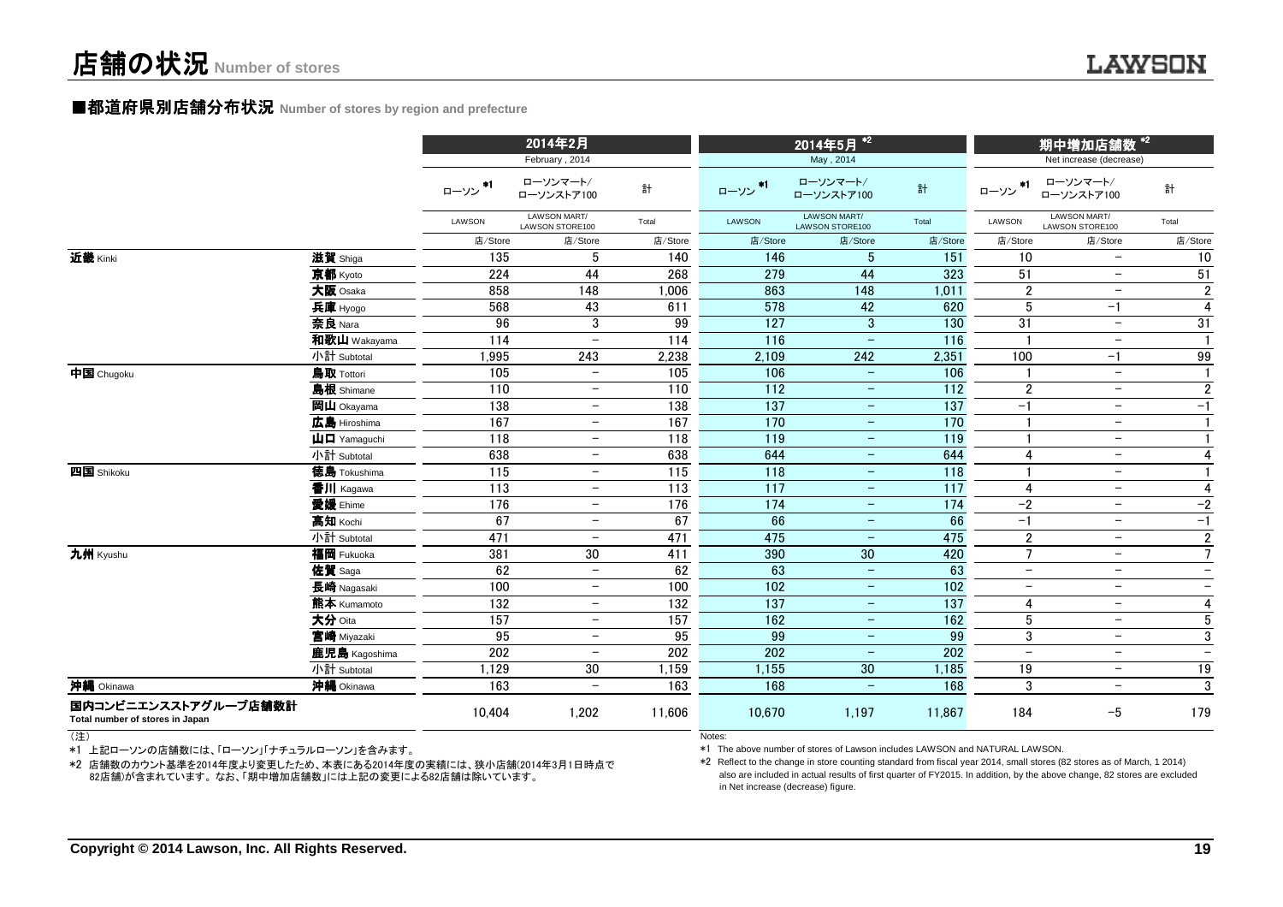#### ■都道府県別店舗分布状況 Number of stores by region and prefecture

|                                                         |                                         |            | 2014年2月                                  |                  |                  | 2014年5月 <sup>*2</sup>               |                  |                          | 期中増加店舗数 *2                                        |                          |
|---------------------------------------------------------|-----------------------------------------|------------|------------------------------------------|------------------|------------------|-------------------------------------|------------------|--------------------------|---------------------------------------------------|--------------------------|
|                                                         |                                         | *1<br>ローソン | February, 2014<br>ローソンマート/<br>ローソンストア100 | 計                | ローソン *1          | May, 2014<br>ローソンマート/<br>ローソンストア100 | 計                | $*1$<br>ローソン             | Net increase (decrease)<br>ローソンマート/<br>ローソンストア100 | 計                        |
|                                                         |                                         | LAWSON     | LAWSON MART/<br>LAWSON STORE100          | Total            | LAWSON           | LAWSON MART/<br>LAWSON STORE100     | Total            | LAWSON                   | LAWSON MART/<br>LAWSON STORE100                   | Total                    |
|                                                         |                                         | 店/Store    | 店/Store                                  | 店/Store          | 店/Store          | 店/Store                             | 店/Store          | 店/Store                  | 店/Store                                           | 店/Store                  |
| 近畿 Kinki                                                | 滋賀 Shiga                                | 135        | 5                                        | 140              | 146              | $5\,$                               | 151              | 10                       | $\overline{\phantom{m}}$                          | 10                       |
|                                                         | 京都 Kyoto                                | 224        | 44                                       | 268              | 279              | 44                                  | 323              | 51                       | $\overline{\phantom{m}}$                          | 51                       |
|                                                         | 大阪 Osaka                                | 858        | 148                                      | 1,006            | 863              | 148                                 | 1,011            | $\boldsymbol{2}$         | $\overline{\phantom{m}}$                          | $\overline{2}$           |
|                                                         | 兵庫 Hyogo                                | 568        | 43                                       | 611              | 578              | 42                                  | 620              | $5\phantom{.0}$          | $-1$                                              | $\overline{4}$           |
|                                                         | 奈良 Nara                                 | 96         | 3                                        | 99               | 127              | $\mathbf{3}$                        | 130              | 31                       | $\overline{\phantom{m}}$                          | 31                       |
|                                                         | 和歌山 Wakayama                            | 114        | $\overline{\phantom{0}}$                 | 114              | 116              | $\equiv$                            | 116              |                          | $\overline{\phantom{m}}$                          | $\mathbf{1}$             |
|                                                         | 小計 Subtotal                             | 1,995      | 243                                      | 2,238            | 2,109            | 242                                 | 2,351            | 100                      | $-1$                                              | 99                       |
| 中国 Chugoku                                              | 鳥取 Tottori                              | 105        | $\overline{\phantom{0}}$                 | 105              | 106              | $\overline{\phantom{m}}$            | 106              |                          | $\overline{\phantom{m}}$                          | $\mathbf{1}$             |
|                                                         | 島根 Shimane                              | 110        | $\overline{\phantom{0}}$                 | 110              | 112              | $\overline{\phantom{m}}$            | 112              | $\boldsymbol{2}$         | $\overline{\phantom{m}}$                          | $\overline{2}$           |
|                                                         | 岡山 Okayama                              | 138        | $\qquad \qquad -$                        | 138              | 137              | $\overline{\phantom{m}}$            | 137              | $-1$                     | $\overline{\phantom{m}}$                          | $-1$                     |
|                                                         | 広島 Hiroshima                            | 167        | $\qquad \qquad -$                        | 167              | 170              | $\qquad \qquad -$                   | 170              |                          | $-$                                               | $\mathbf{1}$             |
|                                                         | $\mathbf{\mu}$ $\mathbf{\Pi}$ Yamaquchi | 118        | $\qquad \qquad -$                        | 118              | 119              | $\qquad \qquad -$                   | 119              |                          | $\overline{\phantom{m}}$                          | $\mathbf{1}$             |
|                                                         | 小計 Subtotal                             | 638        | $\overline{\phantom{0}}$                 | 638              | 644              | $-$                                 | 644              | 4                        | $\overline{\phantom{a}}$                          | $\overline{\mathbf{4}}$  |
| 四国 Shikoku                                              | <b>德島</b> Tokushima                     | 115        | $\overline{\phantom{0}}$                 | 115              | 118              | $\overline{\phantom{m}}$            | 118              |                          | $\overline{\phantom{a}}$                          | $\mathbf{1}$             |
|                                                         | 香川 Kagawa                               | 113        | $\qquad \qquad -$                        | $\overline{113}$ | $\overline{117}$ | $\overline{\phantom{m}}$            | 117              | 4                        | $\overline{\phantom{m}}$                          | $\overline{4}$           |
|                                                         | 愛媛 Ehime                                | 176        | $\qquad \qquad -$                        | 176              | 174              | $\overline{\phantom{m}}$            | 174              | $-2$                     | $\overline{\phantom{m}}$                          | $-2$                     |
|                                                         | 高知 Kochi                                | 67         | $\qquad \qquad -$                        | 67               | 66               | $-$                                 | 66               | $-1$                     | $-$                                               | $-1$                     |
|                                                         | 小計 Subtotal                             | 471        | $\overline{\phantom{0}}$                 | 471              | 475              | $\overline{\phantom{m}}$            | 475              | $\overline{2}$           | $-$                                               | $\overline{2}$           |
| 九州 Kyushu                                               | 福岡 Fukuoka                              | 381        | 30                                       | 411              | 390              | 30                                  | 420              | $7\overline{ }$          | $\overline{\phantom{a}}$                          | $\overline{7}$           |
|                                                         | 佐賀 Saga                                 | 62         | $\overline{\phantom{0}}$                 | 62               | 63               | $\qquad \qquad -$                   | 63               | $\overline{\phantom{m}}$ | $\overline{\phantom{m}}$                          | $\qquad \qquad -$        |
|                                                         | 長崎 Nagasaki                             | 100        | $\qquad \qquad -$                        | 100              | 102              | $\overline{\phantom{m}}$            | 102              | $\overline{\phantom{m}}$ | $-$                                               | $\qquad \qquad -$        |
|                                                         | 熊本 Kumamoto                             | 132        | $\overline{\phantom{0}}$                 | 132              | $\overline{137}$ | $\overline{\phantom{0}}$            | $\overline{137}$ | 4                        | $-$                                               | $\overline{4}$           |
|                                                         | 大分 Oita                                 | 157        | $\overline{\phantom{0}}$                 | 157              | 162              | $\overline{\phantom{m}}$            | 162              | $5\phantom{.0}$          | $\overline{\phantom{m}}$                          | $5\phantom{.0}$          |
|                                                         | 宮崎 Miyazaki                             | 95         | $\overline{\phantom{0}}$                 | $\overline{95}$  | 99               | $\qquad \qquad -$                   | 99               | 3                        | $-$                                               | $\overline{3}$           |
|                                                         | 鹿児島 Kagoshima                           | 202        | $\overline{\phantom{0}}$                 | 202              | 202              | $\qquad \qquad -$                   | 202              | $\overline{\phantom{m}}$ | $\overline{\phantom{m}}$                          | $\overline{\phantom{m}}$ |
|                                                         | 小計 Subtotal                             | 1,129      | 30                                       | 1,159            | 1,155            | $30\,$                              | 1,185            | 19                       | $\overline{\phantom{m}}$                          | 19                       |
| 沖縄 Okinawa                                              | 沖縄 Okinawa                              | 163        | $\overline{\phantom{0}}$                 | 163              | 168              | $\qquad \qquad -$                   | 168              | 3                        | $-$                                               | $\overline{3}$           |
| 国内コンビニエンスストアグループ店舗数計<br>Total number of stores in Japan |                                         | 10,404     | 1,202                                    | 11,606           | 10,670           | 1,197                               | 11,867           | 184                      | $-5$                                              | 179                      |

(注)

\*1 上記ローソンの店舗数には、「ローソン」「ナチュラルローソン」を含みます。

 \*2 店舗数のカウント基準を2014年度より変更したため、本表にある2014年度の実績には、狭小店舗(2014年3月1日時点で82店舗)が含まれています。 なお、「期中増加店舗数」には上記の変更による82店舗は除いています。

\*1 The above number of stores of Lawson includes LAWSON and NATURAL LAWSON.

 \*2 Reflect to the change in store counting standard from fiscal year 2014, small stores (82 stores as of March, 1 2014) also are included in actual results of first quarter of FY2015. In addition, by the above change, 82 stores are excludedin Net increase (decrease) figure.

Notes: